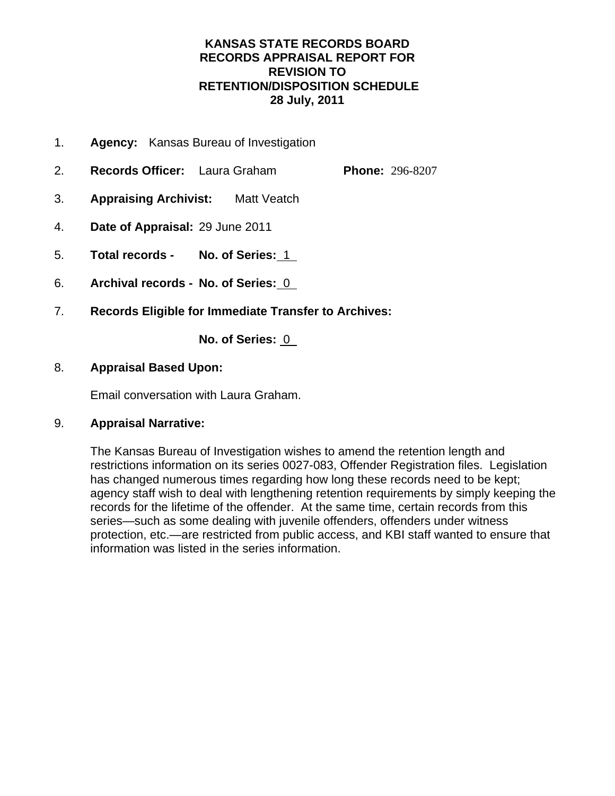## **KANSAS STATE RECORDS BOARD RECORDS APPRAISAL REPORT FOR REVISION TO RETENTION/DISPOSITION SCHEDULE 28 July, 2011**

- 1. **Agency:** Kansas Bureau of Investigation
- 2. **Records Officer:** Laura Graham **Phone:** 296-8207
- 3. **Appraising Archivist:** Matt Veatch
- 4. **Date of Appraisal:** 29 June 2011
- 5. **Total records No. of Series:** 1
- 6. **Archival records No. of Series:** 0
- 7. **Records Eligible for Immediate Transfer to Archives:**

**No. of Series:** 0

## 8. **Appraisal Based Upon:**

Email conversation with Laura Graham.

## 9. **Appraisal Narrative:**

The Kansas Bureau of Investigation wishes to amend the retention length and restrictions information on its series 0027-083, Offender Registration files. Legislation has changed numerous times regarding how long these records need to be kept; agency staff wish to deal with lengthening retention requirements by simply keeping the records for the lifetime of the offender. At the same time, certain records from this series—such as some dealing with juvenile offenders, offenders under witness protection, etc.—are restricted from public access, and KBI staff wanted to ensure that information was listed in the series information.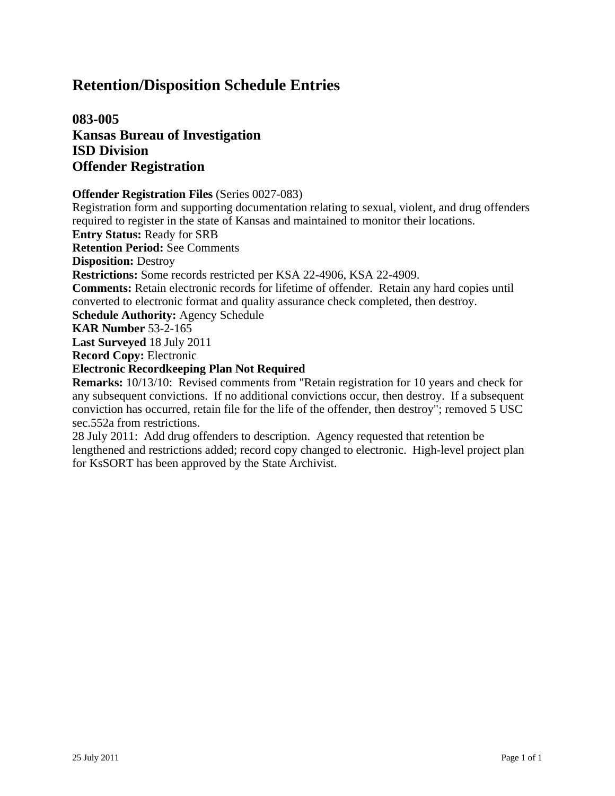**083-005 Kansas Bureau of Investigation ISD Division Offender Registration**

### **Offender Registration Files** (Series 0027-083)

Registration form and supporting documentation relating to sexual, violent, and drug offenders required to register in the state of Kansas and maintained to monitor their locations.

**Entry Status:** Ready for SRB

**Retention Period:** See Comments

**Disposition:** Destroy

**Restrictions:** Some records restricted per KSA 22-4906, KSA 22-4909.

**Comments:** Retain electronic records for lifetime of offender. Retain any hard copies until converted to electronic format and quality assurance check completed, then destroy.

**Schedule Authority:** Agency Schedule

**KAR Number** 53-2-165

**Last Surveyed** 18 July 2011

**Record Copy:** Electronic

**Electronic Recordkeeping Plan Not Required**

**Remarks:** 10/13/10: Revised comments from "Retain registration for 10 years and check for any subsequent convictions. If no additional convictions occur, then destroy. If a subsequent conviction has occurred, retain file for the life of the offender, then destroy"; removed 5 USC sec.552a from restrictions.

28 July 2011: Add drug offenders to description. Agency requested that retention be lengthened and restrictions added; record copy changed to electronic. High-level project plan for KsSORT has been approved by the State Archivist.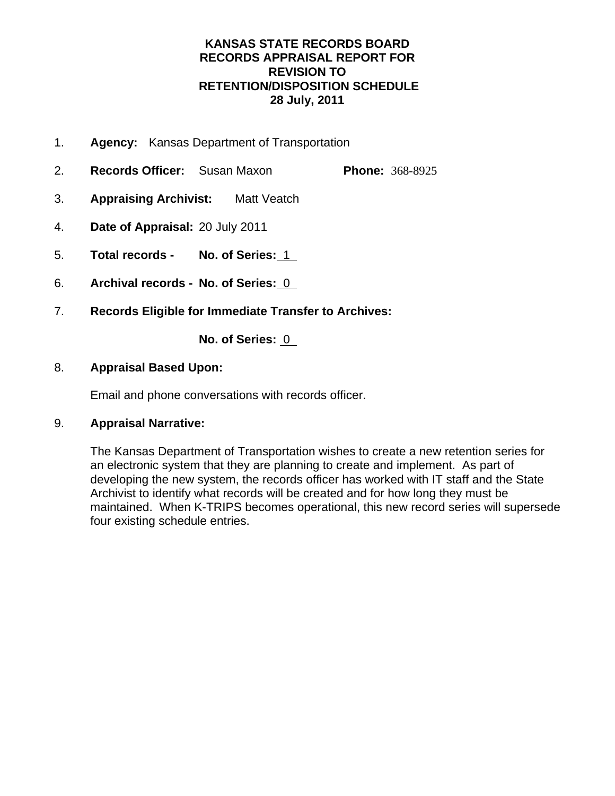## **KANSAS STATE RECORDS BOARD RECORDS APPRAISAL REPORT FOR REVISION TO RETENTION/DISPOSITION SCHEDULE 28 July, 2011**

- 1. **Agency:** Kansas Department of Transportation
- 2. **Records Officer:** Susan Maxon **Phone:** 368-8925
- 3. **Appraising Archivist:** Matt Veatch
- 4. **Date of Appraisal:** 20 July 2011
- 5. **Total records No. of Series:** 1
- 6. **Archival records No. of Series:** 0
- 7. **Records Eligible for Immediate Transfer to Archives:**

**No. of Series:** 0

## 8. **Appraisal Based Upon:**

Email and phone conversations with records officer.

## 9. **Appraisal Narrative:**

The Kansas Department of Transportation wishes to create a new retention series for an electronic system that they are planning to create and implement. As part of developing the new system, the records officer has worked with IT staff and the State Archivist to identify what records will be created and for how long they must be maintained. When K-TRIPS becomes operational, this new record series will supersede four existing schedule entries.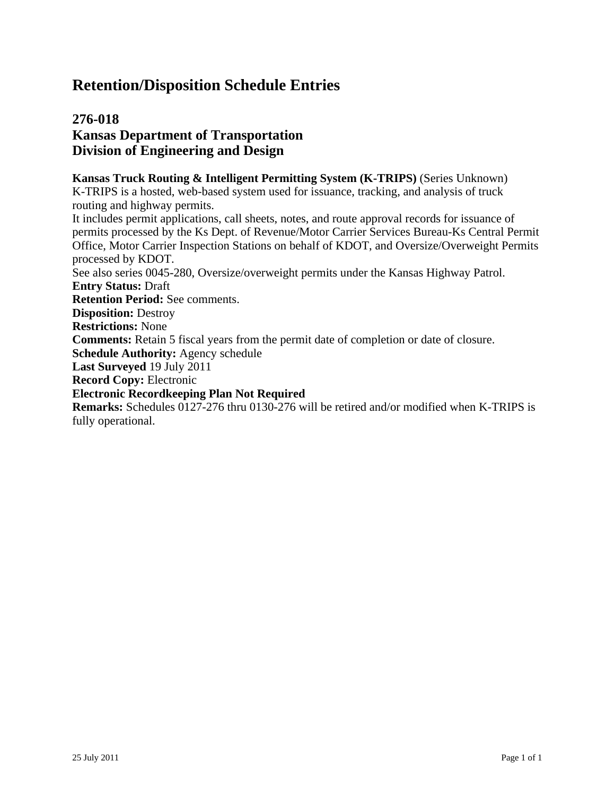## **276-018 Kansas Department of Transportation Division of Engineering and Design**

**Kansas Truck Routing & Intelligent Permitting System (K-TRIPS)** (Series Unknown) K-TRIPS is a hosted, web-based system used for issuance, tracking, and analysis of truck routing and highway permits. It includes permit applications, call sheets, notes, and route approval records for issuance of permits processed by the Ks Dept. of Revenue/Motor Carrier Services Bureau-Ks Central Permit Office, Motor Carrier Inspection Stations on behalf of KDOT, and Oversize/Overweight Permits processed by KDOT. See also series 0045-280, Oversize/overweight permits under the Kansas Highway Patrol. **Entry Status:** Draft **Retention Period:** See comments. **Disposition:** Destroy **Restrictions:** None **Comments:** Retain 5 fiscal years from the permit date of completion or date of closure. **Schedule Authority:** Agency schedule **Last Surveyed** 19 July 2011 **Record Copy:** Electronic **Electronic Recordkeeping Plan Not Required Remarks:** Schedules 0127-276 thru 0130-276 will be retired and/or modified when K-TRIPS is fully operational.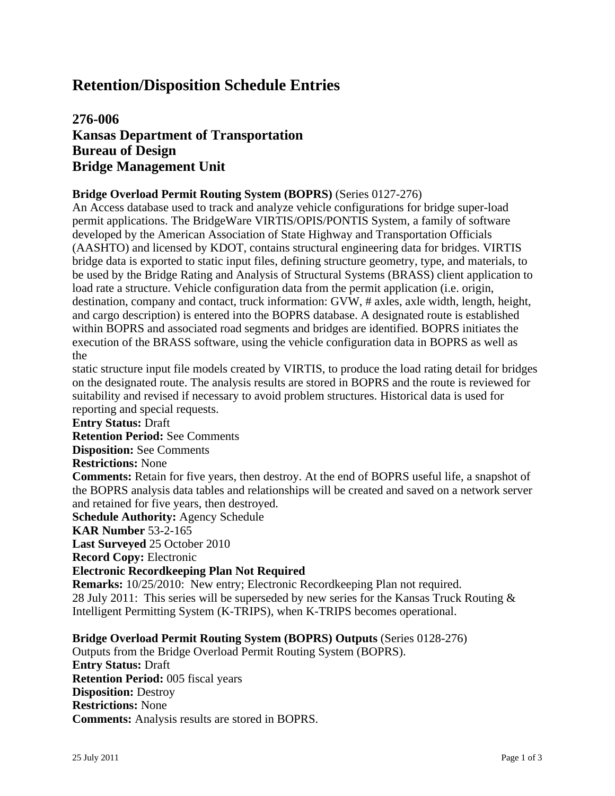## **276-006 Kansas Department of Transportation Bureau of Design Bridge Management Unit**

### **Bridge Overload Permit Routing System (BOPRS)** (Series 0127-276)

An Access database used to track and analyze vehicle configurations for bridge super-load permit applications. The BridgeWare VIRTIS/OPIS/PONTIS System, a family of software developed by the American Association of State Highway and Transportation Officials (AASHTO) and licensed by KDOT, contains structural engineering data for bridges. VIRTIS bridge data is exported to static input files, defining structure geometry, type, and materials, to be used by the Bridge Rating and Analysis of Structural Systems (BRASS) client application to load rate a structure. Vehicle configuration data from the permit application (i.e. origin, destination, company and contact, truck information: GVW, # axles, axle width, length, height, and cargo description) is entered into the BOPRS database. A designated route is established within BOPRS and associated road segments and bridges are identified. BOPRS initiates the execution of the BRASS software, using the vehicle configuration data in BOPRS as well as the

static structure input file models created by VIRTIS, to produce the load rating detail for bridges on the designated route. The analysis results are stored in BOPRS and the route is reviewed for suitability and revised if necessary to avoid problem structures. Historical data is used for reporting and special requests.

#### **Entry Status:** Draft

**Retention Period:** See Comments

**Disposition:** See Comments

#### **Restrictions:** None

**Comments:** Retain for five years, then destroy. At the end of BOPRS useful life, a snapshot of the BOPRS analysis data tables and relationships will be created and saved on a network server and retained for five years, then destroyed.

**Schedule Authority:** Agency Schedule

**KAR Number** 53-2-165

**Last Surveyed** 25 October 2010

**Record Copy:** Electronic

#### **Electronic Recordkeeping Plan Not Required**

**Remarks:** 10/25/2010: New entry; Electronic Recordkeeping Plan not required. 28 July 2011: This series will be superseded by new series for the Kansas Truck Routing  $\&$ Intelligent Permitting System (K-TRIPS), when K-TRIPS becomes operational.

#### **Bridge Overload Permit Routing System (BOPRS) Outputs** (Series 0128-276)

Outputs from the Bridge Overload Permit Routing System (BOPRS). **Entry Status:** Draft **Retention Period:** 005 fiscal years **Disposition:** Destroy **Restrictions:** None **Comments:** Analysis results are stored in BOPRS.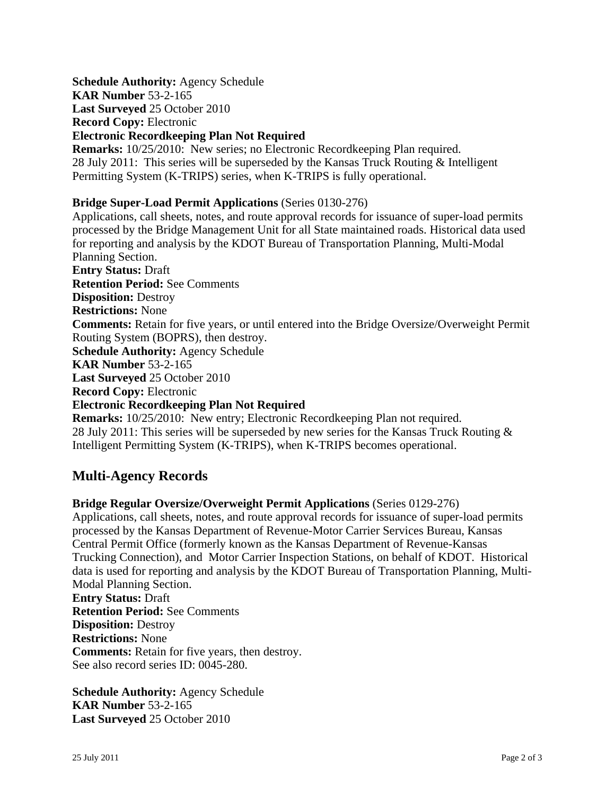**Schedule Authority:** Agency Schedule **KAR Number** 53-2-165

**Last Surveyed** 25 October 2010

**Record Copy:** Electronic

### **Electronic Recordkeeping Plan Not Required**

**Remarks:** 10/25/2010: New series; no Electronic Recordkeeping Plan required. 28 July 2011: This series will be superseded by the Kansas Truck Routing & Intelligent Permitting System (K-TRIPS) series, when K-TRIPS is fully operational.

## **Bridge Super-Load Permit Applications** (Series 0130-276)

Applications, call sheets, notes, and route approval records for issuance of super-load permits processed by the Bridge Management Unit for all State maintained roads. Historical data used for reporting and analysis by the KDOT Bureau of Transportation Planning, Multi-Modal Planning Section. **Entry Status:** Draft **Retention Period:** See Comments **Disposition:** Destroy **Restrictions:** None **Comments:** Retain for five years, or until entered into the Bridge Oversize/Overweight Permit Routing System (BOPRS), then destroy. **Schedule Authority:** Agency Schedule **KAR Number** 53-2-165 **Last Surveyed** 25 October 2010 **Record Copy:** Electronic **Electronic Recordkeeping Plan Not Required Remarks:** 10/25/2010: New entry; Electronic Recordkeeping Plan not required. 28 July 2011: This series will be superseded by new series for the Kansas Truck Routing &

# Intelligent Permitting System (K-TRIPS), when K-TRIPS becomes operational.

## **Multi-Agency Records**

## **Bridge Regular Oversize/Overweight Permit Applications** (Series 0129-276)

Applications, call sheets, notes, and route approval records for issuance of super-load permits processed by the Kansas Department of Revenue-Motor Carrier Services Bureau, Kansas Central Permit Office (formerly known as the Kansas Department of Revenue-Kansas Trucking Connection), and Motor Carrier Inspection Stations, on behalf of KDOT. Historical data is used for reporting and analysis by the KDOT Bureau of Transportation Planning, Multi-Modal Planning Section.

**Entry Status:** Draft **Retention Period:** See Comments **Disposition:** Destroy **Restrictions:** None **Comments:** Retain for five years, then destroy. See also record series ID: 0045-280.

**Schedule Authority:** Agency Schedule **KAR Number** 53-2-165 **Last Surveyed** 25 October 2010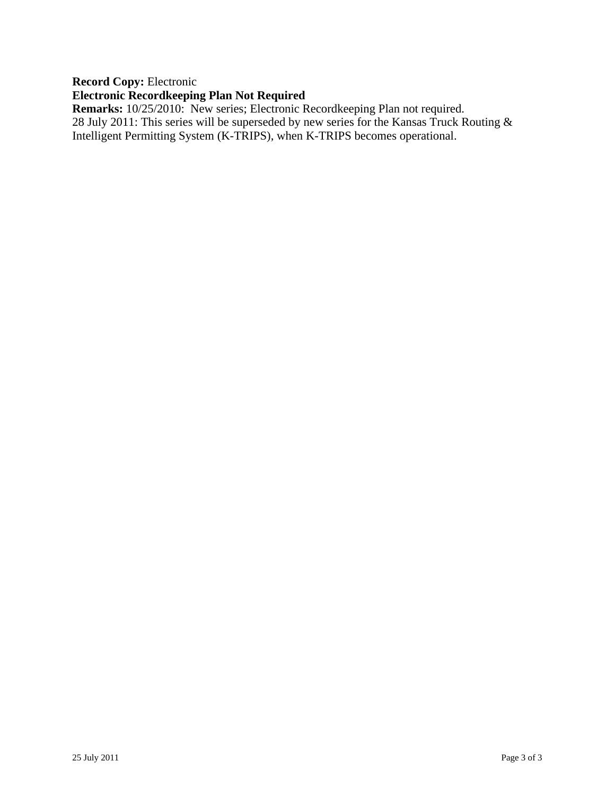### **Record Copy:** Electronic

## **Electronic Recordkeeping Plan Not Required**

**Remarks:** 10/25/2010: New series; Electronic Recordkeeping Plan not required. 28 July 2011: This series will be superseded by new series for the Kansas Truck Routing & Intelligent Permitting System (K-TRIPS), when K-TRIPS becomes operational.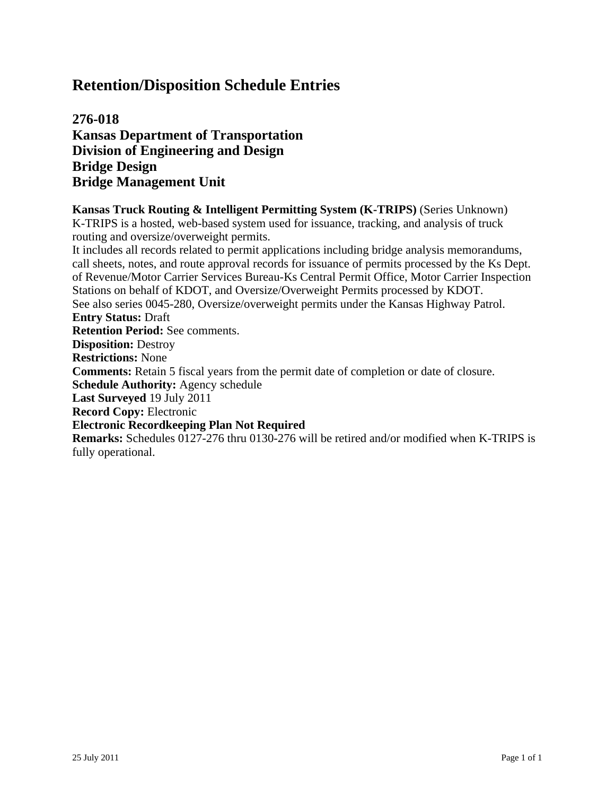**276-018 Kansas Department of Transportation Division of Engineering and Design Bridge Design Bridge Management Unit**

**Kansas Truck Routing & Intelligent Permitting System (K-TRIPS)** (Series Unknown) K-TRIPS is a hosted, web-based system used for issuance, tracking, and analysis of truck routing and oversize/overweight permits.

It includes all records related to permit applications including bridge analysis memorandums, call sheets, notes, and route approval records for issuance of permits processed by the Ks Dept. of Revenue/Motor Carrier Services Bureau-Ks Central Permit Office, Motor Carrier Inspection Stations on behalf of KDOT, and Oversize/Overweight Permits processed by KDOT. See also series 0045-280, Oversize/overweight permits under the Kansas Highway Patrol. **Entry Status:** Draft **Retention Period:** See comments. **Disposition:** Destroy **Restrictions:** None **Comments:** Retain 5 fiscal years from the permit date of completion or date of closure. **Schedule Authority:** Agency schedule **Last Surveyed** 19 July 2011 **Record Copy:** Electronic **Electronic Recordkeeping Plan Not Required Remarks:** Schedules 0127-276 thru 0130-276 will be retired and/or modified when K-TRIPS is fully operational.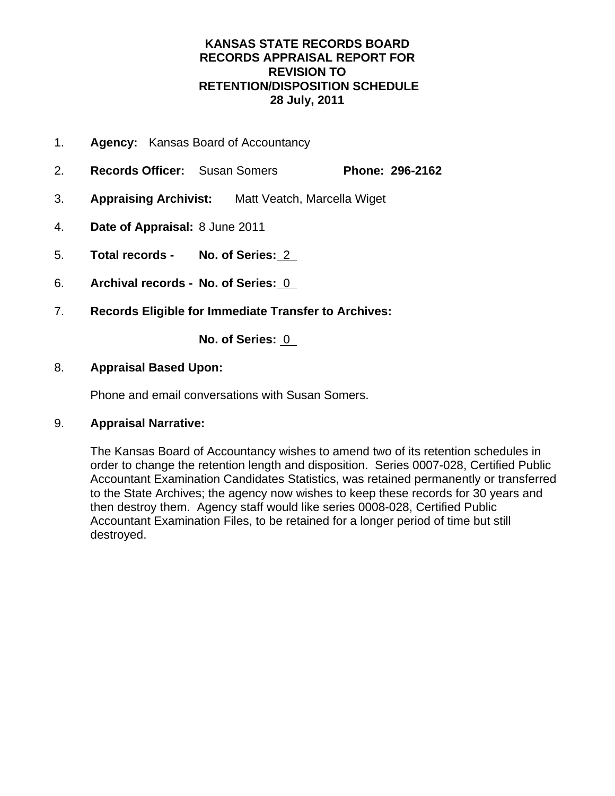## **KANSAS STATE RECORDS BOARD RECORDS APPRAISAL REPORT FOR REVISION TO RETENTION/DISPOSITION SCHEDULE 28 July, 2011**

- 1. **Agency:** Kansas Board of Accountancy
- 2. **Records Officer:** Susan Somers **Phone: 296-2162**
- 3. **Appraising Archivist:** Matt Veatch, Marcella Wiget
- 4. **Date of Appraisal:** 8 June 2011
- 5. **Total records No. of Series:** 2
- 6. **Archival records No. of Series:** 0
- 7. **Records Eligible for Immediate Transfer to Archives:**

**No. of Series:** 0

## 8. **Appraisal Based Upon:**

Phone and email conversations with Susan Somers.

## 9. **Appraisal Narrative:**

The Kansas Board of Accountancy wishes to amend two of its retention schedules in order to change the retention length and disposition. Series 0007-028, Certified Public Accountant Examination Candidates Statistics, was retained permanently or transferred to the State Archives; the agency now wishes to keep these records for 30 years and then destroy them. Agency staff would like series 0008-028, Certified Public Accountant Examination Files, to be retained for a longer period of time but still destroyed.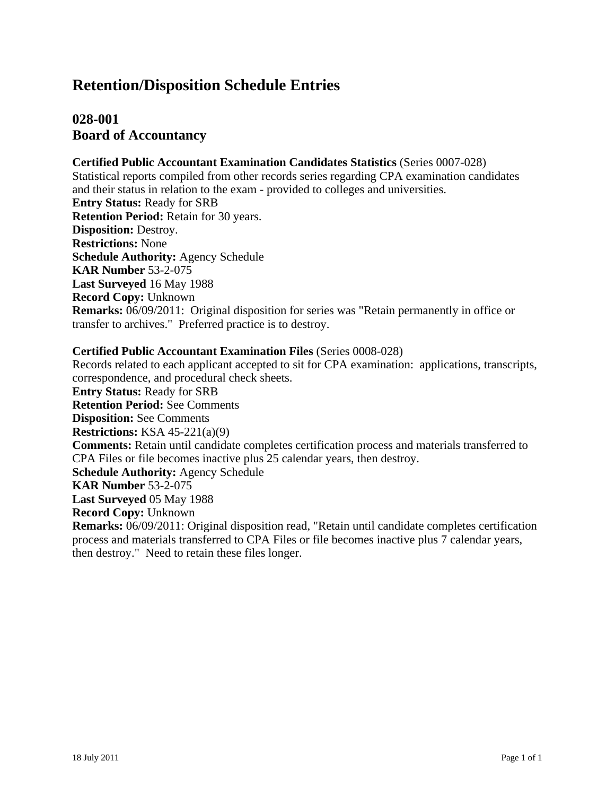## **028-001 Board of Accountancy**

#### **Certified Public Accountant Examination Candidates Statistics** (Series 0007-028)

Statistical reports compiled from other records series regarding CPA examination candidates and their status in relation to the exam - provided to colleges and universities. **Entry Status:** Ready for SRB **Retention Period:** Retain for 30 years. **Disposition:** Destroy. **Restrictions:** None **Schedule Authority:** Agency Schedule **KAR Number** 53-2-075 **Last Surveyed** 16 May 1988 **Record Copy:** Unknown **Remarks:** 06/09/2011: Original disposition for series was "Retain permanently in office or transfer to archives." Preferred practice is to destroy.

#### **Certified Public Accountant Examination Files** (Series 0008-028)

Records related to each applicant accepted to sit for CPA examination: applications, transcripts, correspondence, and procedural check sheets. **Entry Status:** Ready for SRB **Retention Period:** See Comments **Disposition:** See Comments **Restrictions:** KSA 45-221(a)(9) **Comments:** Retain until candidate completes certification process and materials transferred to CPA Files or file becomes inactive plus 25 calendar years, then destroy. **Schedule Authority:** Agency Schedule **KAR Number** 53-2-075 **Last Surveyed** 05 May 1988 **Record Copy:** Unknown **Remarks:** 06/09/2011: Original disposition read, "Retain until candidate completes certification process and materials transferred to CPA Files or file becomes inactive plus 7 calendar years, then destroy." Need to retain these files longer.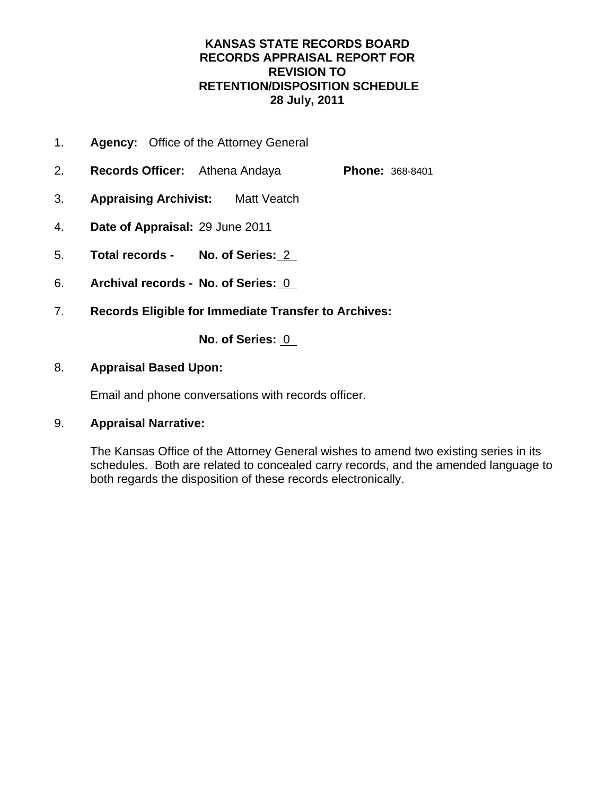## **KANSAS STATE RECORDS BOARD RECORDS APPRAISAL REPORT FOR REVISION TO RETENTION/DISPOSITION SCHEDULE 28 July, 2011**

- 1. **Agency:** Office of the Attorney General
- 2. **Records Officer:** Athena Andaya **Phone:** 368-8401
- 3. **Appraising Archivist:** Matt Veatch
- 4. **Date of Appraisal:** 29 June 2011
- 5. **Total records No. of Series:** 2
- 6. **Archival records No. of Series:** 0
- 7. **Records Eligible for Immediate Transfer to Archives:**

**No. of Series:** 0

## 8. **Appraisal Based Upon:**

Email and phone conversations with records officer.

## 9. **Appraisal Narrative:**

The Kansas Office of the Attorney General wishes to amend two existing series in its schedules. Both are related to concealed carry records, and the amended language to both regards the disposition of these records electronically.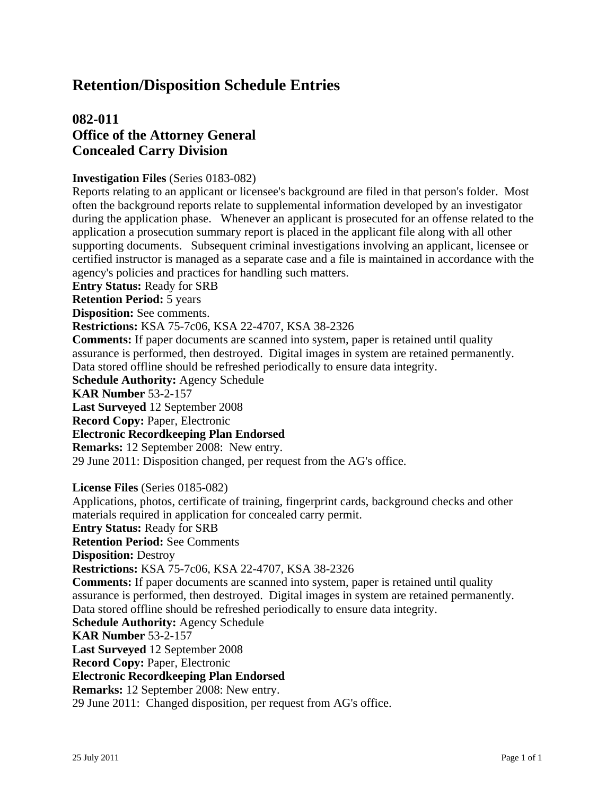## **082-011 Office of the Attorney General Concealed Carry Division**

#### **Investigation Files** (Series 0183-082)

Reports relating to an applicant or licensee's background are filed in that person's folder. Most often the background reports relate to supplemental information developed by an investigator during the application phase. Whenever an applicant is prosecuted for an offense related to the application a prosecution summary report is placed in the applicant file along with all other supporting documents. Subsequent criminal investigations involving an applicant, licensee or certified instructor is managed as a separate case and a file is maintained in accordance with the agency's policies and practices for handling such matters.

**Entry Status:** Ready for SRB

**Retention Period:** 5 years

**Disposition:** See comments.

**Restrictions:** KSA 75-7c06, KSA 22-4707, KSA 38-2326

**Comments:** If paper documents are scanned into system, paper is retained until quality assurance is performed, then destroyed. Digital images in system are retained permanently. Data stored offline should be refreshed periodically to ensure data integrity.

**Schedule Authority:** Agency Schedule

**KAR Number** 53-2-157

**Last Surveyed** 12 September 2008

**Record Copy:** Paper, Electronic

#### **Electronic Recordkeeping Plan Endorsed**

**Remarks:** 12 September 2008: New entry.

29 June 2011: Disposition changed, per request from the AG's office.

**License Files** (Series 0185-082)

Applications, photos, certificate of training, fingerprint cards, background checks and other materials required in application for concealed carry permit. **Entry Status:** Ready for SRB

**Retention Period:** See Comments

**Disposition:** Destroy

**Restrictions:** KSA 75-7c06, KSA 22-4707, KSA 38-2326

**Comments:** If paper documents are scanned into system, paper is retained until quality assurance is performed, then destroyed. Digital images in system are retained permanently. Data stored offline should be refreshed periodically to ensure data integrity.

**Schedule Authority:** Agency Schedule

**KAR Number** 53-2-157

**Last Surveyed** 12 September 2008

**Record Copy:** Paper, Electronic

#### **Electronic Recordkeeping Plan Endorsed**

**Remarks:** 12 September 2008: New entry.

29 June 2011: Changed disposition, per request from AG's office.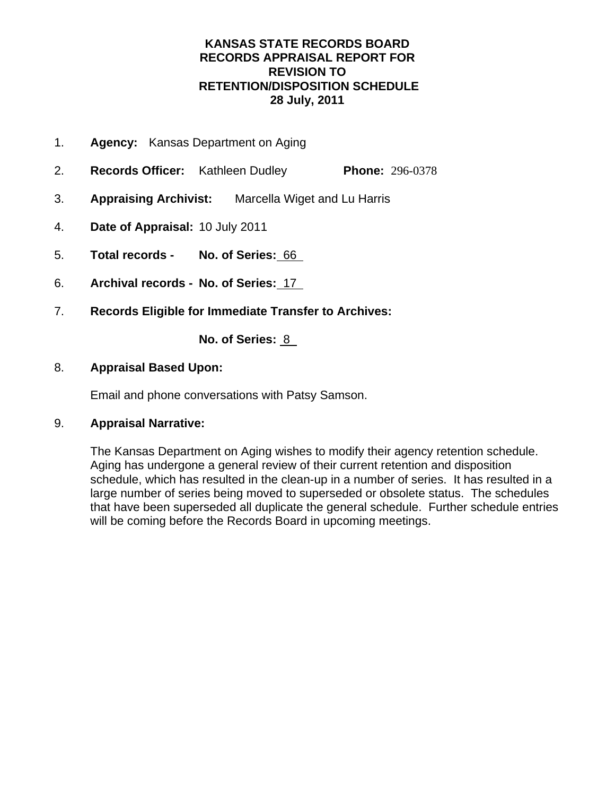## **KANSAS STATE RECORDS BOARD RECORDS APPRAISAL REPORT FOR REVISION TO RETENTION/DISPOSITION SCHEDULE 28 July, 2011**

- 1. **Agency:** Kansas Department on Aging
- 2. **Records Officer:** Kathleen Dudley **Phone:** 296-0378
- 3. **Appraising Archivist:** Marcella Wiget and Lu Harris
- 4. **Date of Appraisal:** 10 July 2011
- 5. **Total records No. of Series:** 66
- 6. **Archival records No. of Series:** 17
- 7. **Records Eligible for Immediate Transfer to Archives:**

**No. of Series:** 8

### 8. **Appraisal Based Upon:**

Email and phone conversations with Patsy Samson.

## 9. **Appraisal Narrative:**

The Kansas Department on Aging wishes to modify their agency retention schedule. Aging has undergone a general review of their current retention and disposition schedule, which has resulted in the clean-up in a number of series. It has resulted in a large number of series being moved to superseded or obsolete status. The schedules that have been superseded all duplicate the general schedule. Further schedule entries will be coming before the Records Board in upcoming meetings.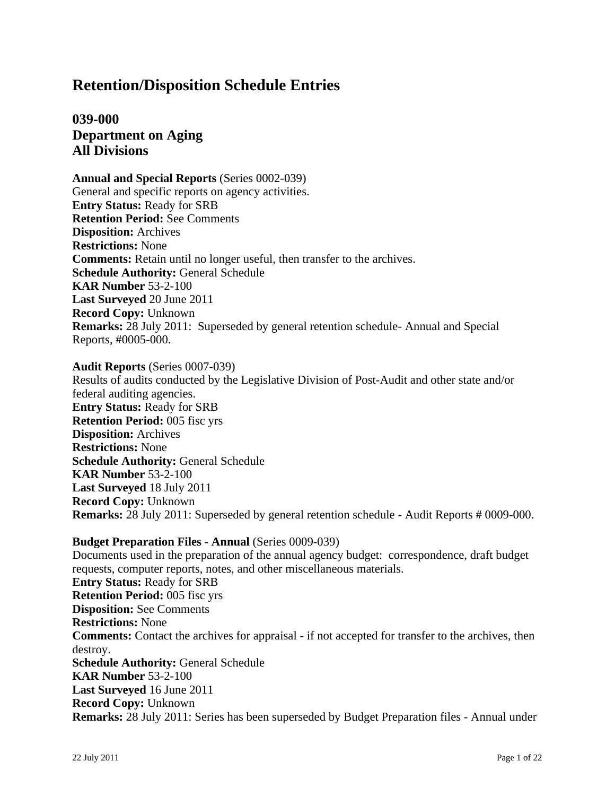## **039-000 Department on Aging All Divisions**

**Annual and Special Reports** (Series 0002-039) General and specific reports on agency activities. **Entry Status:** Ready for SRB **Retention Period:** See Comments **Disposition:** Archives **Restrictions:** None **Comments:** Retain until no longer useful, then transfer to the archives. **Schedule Authority:** General Schedule **KAR Number** 53-2-100 **Last Surveyed** 20 June 2011 **Record Copy:** Unknown **Remarks:** 28 July 2011: Superseded by general retention schedule- Annual and Special Reports, #0005-000.

**Audit Reports** (Series 0007-039) Results of audits conducted by the Legislative Division of Post-Audit and other state and/or federal auditing agencies. **Entry Status:** Ready for SRB **Retention Period:** 005 fisc yrs **Disposition:** Archives **Restrictions:** None **Schedule Authority:** General Schedule **KAR Number** 53-2-100 **Last Surveyed** 18 July 2011 **Record Copy:** Unknown **Remarks:** 28 July 2011: Superseded by general retention schedule - Audit Reports # 0009-000.

**Budget Preparation Files - Annual** (Series 0009-039) Documents used in the preparation of the annual agency budget: correspondence, draft budget requests, computer reports, notes, and other miscellaneous materials. **Entry Status:** Ready for SRB **Retention Period:** 005 fisc yrs **Disposition:** See Comments **Restrictions:** None **Comments:** Contact the archives for appraisal - if not accepted for transfer to the archives, then destroy. **Schedule Authority:** General Schedule **KAR Number** 53-2-100 **Last Surveyed** 16 June 2011 **Record Copy:** Unknown **Remarks:** 28 July 2011: Series has been superseded by Budget Preparation files - Annual under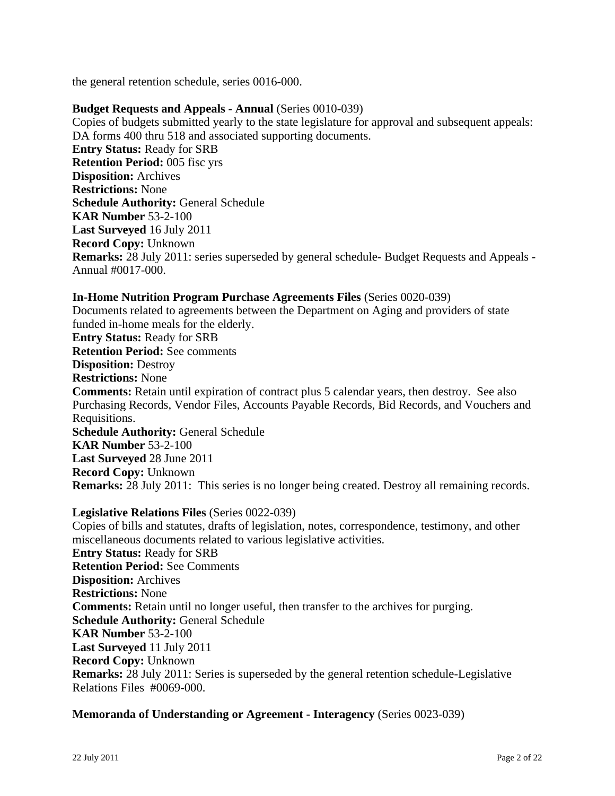the general retention schedule, series 0016-000.

#### **Budget Requests and Appeals - Annual** (Series 0010-039)

Copies of budgets submitted yearly to the state legislature for approval and subsequent appeals: DA forms 400 thru 518 and associated supporting documents. **Entry Status:** Ready for SRB **Retention Period:** 005 fisc yrs **Disposition:** Archives **Restrictions:** None **Schedule Authority:** General Schedule **KAR Number** 53-2-100 **Last Surveyed** 16 July 2011 **Record Copy:** Unknown **Remarks:** 28 July 2011: series superseded by general schedule- Budget Requests and Appeals - Annual #0017-000.

#### **In-Home Nutrition Program Purchase Agreements Files** (Series 0020-039)

Documents related to agreements between the Department on Aging and providers of state funded in-home meals for the elderly.

**Entry Status:** Ready for SRB

**Retention Period:** See comments

**Disposition:** Destroy

**Restrictions:** None

**Comments:** Retain until expiration of contract plus 5 calendar years, then destroy. See also Purchasing Records, Vendor Files, Accounts Payable Records, Bid Records, and Vouchers and Requisitions.

**Schedule Authority:** General Schedule **KAR Number** 53-2-100 **Last Surveyed** 28 June 2011 **Record Copy:** Unknown **Remarks:** 28 July 2011: This series is no longer being created. Destroy all remaining records.

#### **Legislative Relations Files** (Series 0022-039)

Copies of bills and statutes, drafts of legislation, notes, correspondence, testimony, and other miscellaneous documents related to various legislative activities. **Entry Status:** Ready for SRB **Retention Period:** See Comments **Disposition:** Archives **Restrictions:** None **Comments:** Retain until no longer useful, then transfer to the archives for purging. **Schedule Authority:** General Schedule **KAR Number** 53-2-100 **Last Surveyed** 11 July 2011 **Record Copy:** Unknown **Remarks:** 28 July 2011: Series is superseded by the general retention schedule-Legislative Relations Files #0069-000.

#### **Memoranda of Understanding or Agreement - Interagency** (Series 0023-039)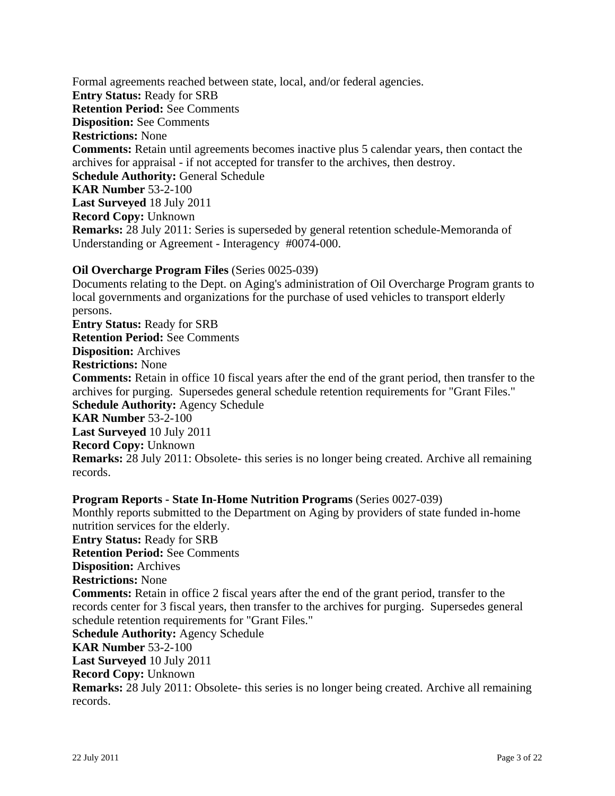Formal agreements reached between state, local, and/or federal agencies. **Entry Status:** Ready for SRB **Retention Period:** See Comments **Disposition:** See Comments **Restrictions:** None **Comments:** Retain until agreements becomes inactive plus 5 calendar years, then contact the archives for appraisal - if not accepted for transfer to the archives, then destroy. **Schedule Authority:** General Schedule **KAR Number** 53-2-100 **Last Surveyed** 18 July 2011 **Record Copy:** Unknown **Remarks:** 28 July 2011: Series is superseded by general retention schedule-Memoranda of Understanding or Agreement - Interagency #0074-000.

#### **Oil Overcharge Program Files** (Series 0025-039)

Documents relating to the Dept. on Aging's administration of Oil Overcharge Program grants to local governments and organizations for the purchase of used vehicles to transport elderly persons. **Entry Status:** Ready for SRB **Retention Period:** See Comments **Disposition:** Archives **Restrictions:** None **Comments:** Retain in office 10 fiscal years after the end of the grant period, then transfer to the archives for purging. Supersedes general schedule retention requirements for "Grant Files." **Schedule Authority:** Agency Schedule **KAR Number** 53-2-100 **Last Surveyed** 10 July 2011 **Record Copy:** Unknown **Remarks:** 28 July 2011: Obsolete- this series is no longer being created. Archive all remaining records.

**Program Reports - State In-Home Nutrition Programs** (Series 0027-039) Monthly reports submitted to the Department on Aging by providers of state funded in-home nutrition services for the elderly. **Entry Status:** Ready for SRB **Retention Period:** See Comments **Disposition:** Archives **Restrictions:** None **Comments:** Retain in office 2 fiscal years after the end of the grant period, transfer to the records center for 3 fiscal years, then transfer to the archives for purging. Supersedes general schedule retention requirements for "Grant Files." **Schedule Authority:** Agency Schedule **KAR Number** 53-2-100 **Last Surveyed** 10 July 2011 **Record Copy:** Unknown **Remarks:** 28 July 2011: Obsolete- this series is no longer being created. Archive all remaining records.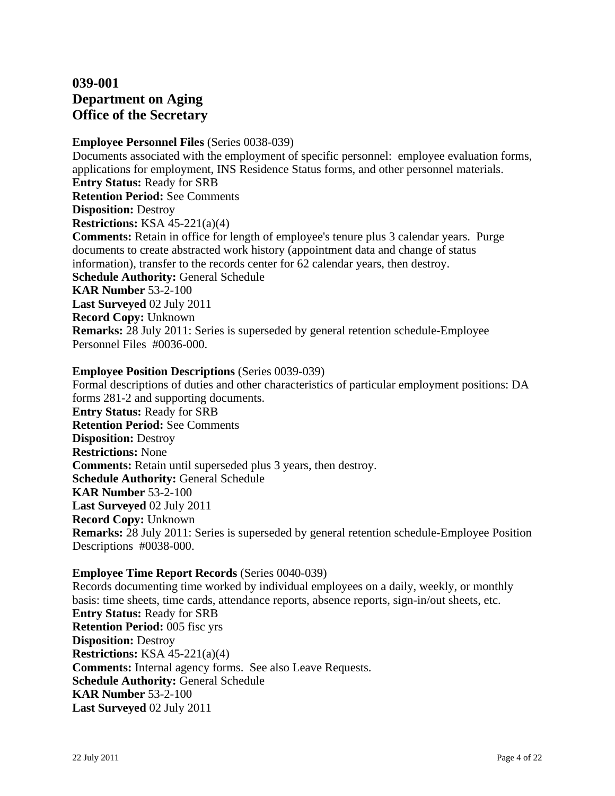## **039-001 Department on Aging Office of the Secretary**

#### **Employee Personnel Files** (Series 0038-039)

Documents associated with the employment of specific personnel: employee evaluation forms, applications for employment, INS Residence Status forms, and other personnel materials. **Entry Status:** Ready for SRB **Retention Period:** See Comments **Disposition:** Destroy **Restrictions:** KSA 45-221(a)(4) **Comments:** Retain in office for length of employee's tenure plus 3 calendar years. Purge documents to create abstracted work history (appointment data and change of status information), transfer to the records center for 62 calendar years, then destroy. **Schedule Authority:** General Schedule **KAR Number** 53-2-100 **Last Surveyed** 02 July 2011 **Record Copy:** Unknown **Remarks:** 28 July 2011: Series is superseded by general retention schedule-Employee Personnel Files #0036-000.

#### **Employee Position Descriptions** (Series 0039-039)

Formal descriptions of duties and other characteristics of particular employment positions: DA forms 281-2 and supporting documents. **Entry Status:** Ready for SRB **Retention Period:** See Comments **Disposition:** Destroy **Restrictions:** None **Comments:** Retain until superseded plus 3 years, then destroy. **Schedule Authority:** General Schedule **KAR Number** 53-2-100 **Last Surveyed** 02 July 2011 **Record Copy:** Unknown **Remarks:** 28 July 2011: Series is superseded by general retention schedule-Employee Position Descriptions #0038-000.

#### **Employee Time Report Records** (Series 0040-039)

Records documenting time worked by individual employees on a daily, weekly, or monthly basis: time sheets, time cards, attendance reports, absence reports, sign-in/out sheets, etc. **Entry Status:** Ready for SRB **Retention Period:** 005 fisc yrs **Disposition:** Destroy **Restrictions:** KSA 45-221(a)(4) **Comments:** Internal agency forms. See also Leave Requests. **Schedule Authority:** General Schedule **KAR Number** 53-2-100 **Last Surveyed** 02 July 2011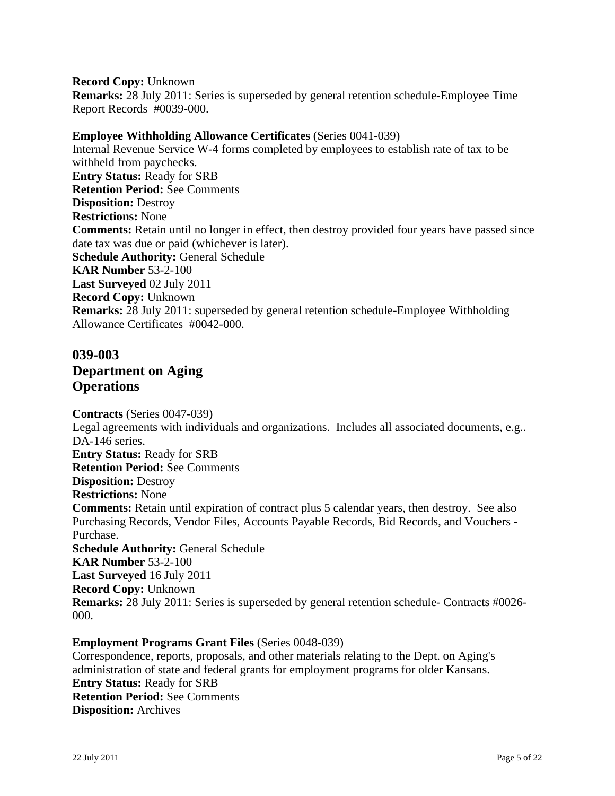#### **Record Copy:** Unknown

**Remarks:** 28 July 2011: Series is superseded by general retention schedule-Employee Time Report Records #0039-000.

### **Employee Withholding Allowance Certificates** (Series 0041-039)

Internal Revenue Service W-4 forms completed by employees to establish rate of tax to be withheld from paychecks. **Entry Status:** Ready for SRB **Retention Period:** See Comments **Disposition:** Destroy **Restrictions:** None **Comments:** Retain until no longer in effect, then destroy provided four years have passed since date tax was due or paid (whichever is later). **Schedule Authority:** General Schedule **KAR Number** 53-2-100 **Last Surveyed** 02 July 2011 **Record Copy:** Unknown **Remarks:** 28 July 2011: superseded by general retention schedule-Employee Withholding Allowance Certificates #0042-000.

## **039-003 Department on Aging Operations**

**Contracts** (Series 0047-039) Legal agreements with individuals and organizations. Includes all associated documents, e.g.. DA-146 series. **Entry Status:** Ready for SRB **Retention Period:** See Comments **Disposition:** Destroy **Restrictions:** None **Comments:** Retain until expiration of contract plus 5 calendar years, then destroy. See also Purchasing Records, Vendor Files, Accounts Payable Records, Bid Records, and Vouchers - Purchase. **Schedule Authority:** General Schedule **KAR Number** 53-2-100 **Last Surveyed** 16 July 2011 **Record Copy:** Unknown **Remarks:** 28 July 2011: Series is superseded by general retention schedule- Contracts #0026- 000.

#### **Employment Programs Grant Files** (Series 0048-039)

Correspondence, reports, proposals, and other materials relating to the Dept. on Aging's administration of state and federal grants for employment programs for older Kansans. **Entry Status:** Ready for SRB **Retention Period:** See Comments **Disposition:** Archives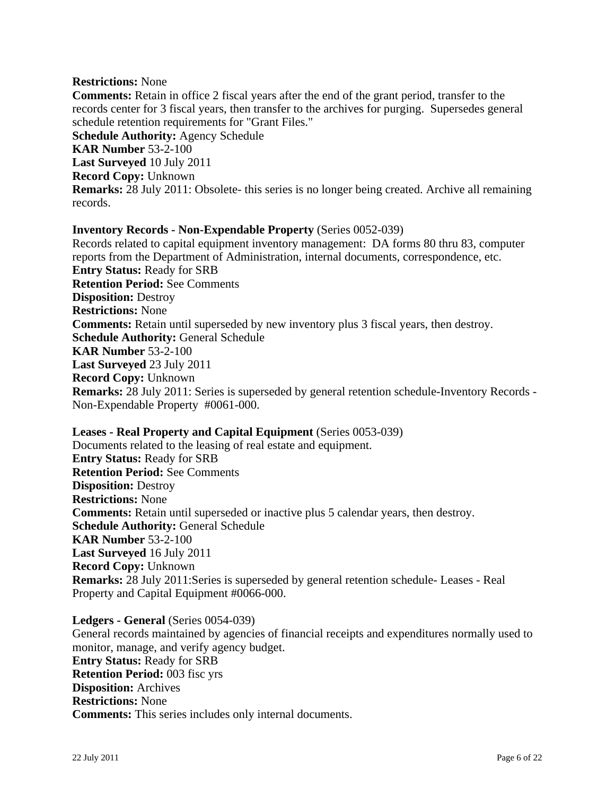#### **Restrictions:** None

**Comments:** Retain in office 2 fiscal years after the end of the grant period, transfer to the records center for 3 fiscal years, then transfer to the archives for purging. Supersedes general schedule retention requirements for "Grant Files." **Schedule Authority:** Agency Schedule **KAR Number** 53-2-100 **Last Surveyed** 10 July 2011

**Record Copy:** Unknown

**Remarks:** 28 July 2011: Obsolete- this series is no longer being created. Archive all remaining records.

#### **Inventory Records - Non-Expendable Property** (Series 0052-039)

Records related to capital equipment inventory management: DA forms 80 thru 83, computer reports from the Department of Administration, internal documents, correspondence, etc. **Entry Status:** Ready for SRB **Retention Period:** See Comments **Disposition:** Destroy **Restrictions:** None **Comments:** Retain until superseded by new inventory plus 3 fiscal years, then destroy. **Schedule Authority:** General Schedule **KAR Number** 53-2-100 **Last Surveyed** 23 July 2011 **Record Copy:** Unknown **Remarks:** 28 July 2011: Series is superseded by general retention schedule-Inventory Records - Non-Expendable Property #0061-000.

**Leases - Real Property and Capital Equipment** (Series 0053-039) Documents related to the leasing of real estate and equipment. **Entry Status:** Ready for SRB **Retention Period:** See Comments **Disposition:** Destroy **Restrictions:** None **Comments:** Retain until superseded or inactive plus 5 calendar years, then destroy. **Schedule Authority:** General Schedule **KAR Number** 53-2-100 **Last Surveyed** 16 July 2011 **Record Copy:** Unknown **Remarks:** 28 July 2011:Series is superseded by general retention schedule- Leases - Real Property and Capital Equipment #0066-000.

**Ledgers - General** (Series 0054-039)

General records maintained by agencies of financial receipts and expenditures normally used to monitor, manage, and verify agency budget. **Entry Status:** Ready for SRB **Retention Period:** 003 fisc yrs **Disposition:** Archives **Restrictions:** None **Comments:** This series includes only internal documents.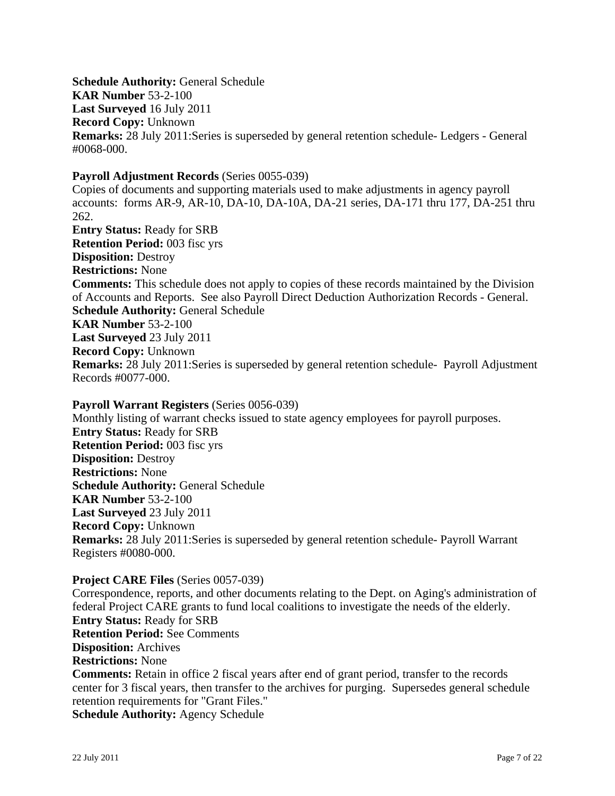**Schedule Authority:** General Schedule **KAR Number** 53-2-100 **Last Surveyed** 16 July 2011 **Record Copy:** Unknown **Remarks:** 28 July 2011:Series is superseded by general retention schedule- Ledgers - General #0068-000.

#### **Payroll Adjustment Records** (Series 0055-039)

Copies of documents and supporting materials used to make adjustments in agency payroll accounts: forms AR-9, AR-10, DA-10, DA-10A, DA-21 series, DA-171 thru 177, DA-251 thru 262. **Entry Status:** Ready for SRB **Retention Period:** 003 fisc yrs **Disposition:** Destroy **Restrictions:** None **Comments:** This schedule does not apply to copies of these records maintained by the Division of Accounts and Reports. See also Payroll Direct Deduction Authorization Records - General. **Schedule Authority:** General Schedule **KAR Number** 53-2-100 **Last Surveyed** 23 July 2011 **Record Copy:** Unknown **Remarks:** 28 July 2011:Series is superseded by general retention schedule- Payroll Adjustment Records #0077-000.

#### **Payroll Warrant Registers** (Series 0056-039)

Monthly listing of warrant checks issued to state agency employees for payroll purposes. **Entry Status:** Ready for SRB **Retention Period:** 003 fisc yrs **Disposition:** Destroy **Restrictions:** None **Schedule Authority:** General Schedule **KAR Number** 53-2-100 **Last Surveyed** 23 July 2011 **Record Copy:** Unknown **Remarks:** 28 July 2011:Series is superseded by general retention schedule- Payroll Warrant Registers #0080-000.

#### **Project CARE Files** (Series 0057-039)

Correspondence, reports, and other documents relating to the Dept. on Aging's administration of federal Project CARE grants to fund local coalitions to investigate the needs of the elderly. **Entry Status:** Ready for SRB **Retention Period:** See Comments **Disposition:** Archives **Restrictions:** None **Comments:** Retain in office 2 fiscal years after end of grant period, transfer to the records center for 3 fiscal years, then transfer to the archives for purging. Supersedes general schedule retention requirements for "Grant Files." **Schedule Authority:** Agency Schedule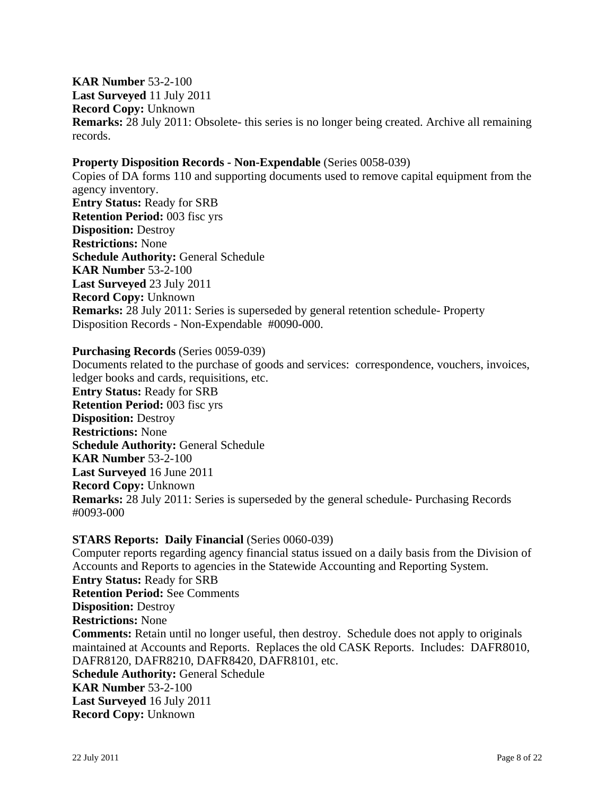**KAR Number** 53-2-100 **Last Surveyed** 11 July 2011 **Record Copy:** Unknown **Remarks:** 28 July 2011: Obsolete- this series is no longer being created. Archive all remaining records.

#### **Property Disposition Records - Non-Expendable** (Series 0058-039)

Copies of DA forms 110 and supporting documents used to remove capital equipment from the agency inventory. **Entry Status:** Ready for SRB **Retention Period:** 003 fisc yrs **Disposition:** Destroy **Restrictions:** None **Schedule Authority:** General Schedule **KAR Number** 53-2-100 **Last Surveyed** 23 July 2011 **Record Copy:** Unknown **Remarks:** 28 July 2011: Series is superseded by general retention schedule- Property Disposition Records - Non-Expendable #0090-000.

#### **Purchasing Records** (Series 0059-039)

Documents related to the purchase of goods and services: correspondence, vouchers, invoices, ledger books and cards, requisitions, etc. **Entry Status:** Ready for SRB **Retention Period:** 003 fisc yrs **Disposition:** Destroy **Restrictions:** None **Schedule Authority:** General Schedule **KAR Number** 53-2-100 **Last Surveyed** 16 June 2011 **Record Copy:** Unknown **Remarks:** 28 July 2011: Series is superseded by the general schedule- Purchasing Records #0093-000

### **STARS Reports: Daily Financial** (Series 0060-039)

Computer reports regarding agency financial status issued on a daily basis from the Division of Accounts and Reports to agencies in the Statewide Accounting and Reporting System. **Entry Status:** Ready for SRB **Retention Period:** See Comments **Disposition:** Destroy **Restrictions:** None **Comments:** Retain until no longer useful, then destroy. Schedule does not apply to originals maintained at Accounts and Reports. Replaces the old CASK Reports. Includes: DAFR8010, DAFR8120, DAFR8210, DAFR8420, DAFR8101, etc. **Schedule Authority:** General Schedule **KAR Number** 53-2-100 **Last Surveyed** 16 July 2011 **Record Copy:** Unknown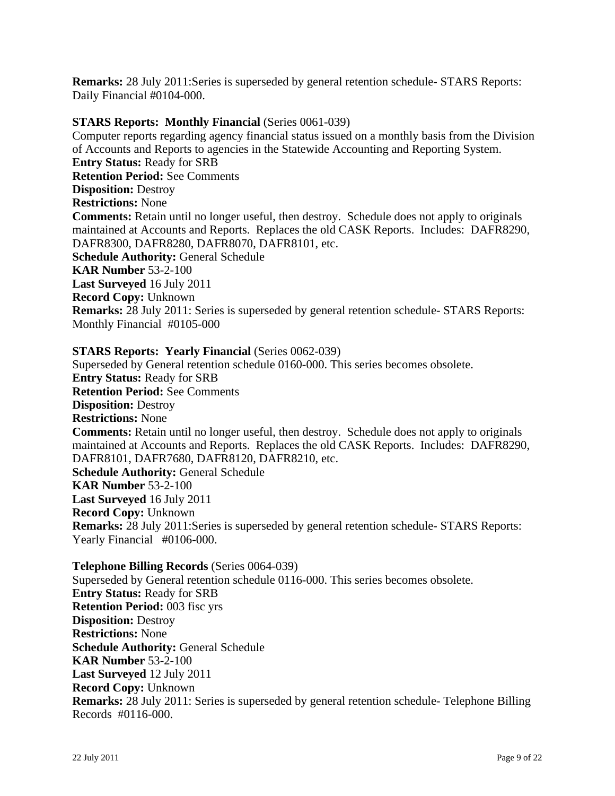**Remarks:** 28 July 2011:Series is superseded by general retention schedule- STARS Reports: Daily Financial #0104-000.

#### **STARS Reports: Monthly Financial** (Series 0061-039)

Computer reports regarding agency financial status issued on a monthly basis from the Division of Accounts and Reports to agencies in the Statewide Accounting and Reporting System. **Entry Status:** Ready for SRB **Retention Period:** See Comments **Disposition:** Destroy **Restrictions:** None **Comments:** Retain until no longer useful, then destroy. Schedule does not apply to originals maintained at Accounts and Reports. Replaces the old CASK Reports. Includes: DAFR8290, DAFR8300, DAFR8280, DAFR8070, DAFR8101, etc. **Schedule Authority:** General Schedule **KAR Number** 53-2-100 **Last Surveyed** 16 July 2011 **Record Copy:** Unknown **Remarks:** 28 July 2011: Series is superseded by general retention schedule- STARS Reports: Monthly Financial #0105-000

#### **STARS Reports: Yearly Financial** (Series 0062-039)

Superseded by General retention schedule 0160-000. This series becomes obsolete. **Entry Status:** Ready for SRB **Retention Period:** See Comments **Disposition:** Destroy **Restrictions:** None **Comments:** Retain until no longer useful, then destroy. Schedule does not apply to originals maintained at Accounts and Reports. Replaces the old CASK Reports. Includes: DAFR8290, DAFR8101, DAFR7680, DAFR8120, DAFR8210, etc. **Schedule Authority:** General Schedule **KAR Number** 53-2-100 **Last Surveyed** 16 July 2011 **Record Copy:** Unknown **Remarks:** 28 July 2011:Series is superseded by general retention schedule- STARS Reports: Yearly Financial #0106-000.

**Telephone Billing Records** (Series 0064-039) Superseded by General retention schedule 0116-000. This series becomes obsolete. **Entry Status:** Ready for SRB **Retention Period:** 003 fisc yrs **Disposition:** Destroy **Restrictions:** None **Schedule Authority:** General Schedule **KAR Number** 53-2-100 **Last Surveyed** 12 July 2011 **Record Copy:** Unknown **Remarks:** 28 July 2011: Series is superseded by general retention schedule- Telephone Billing Records #0116-000.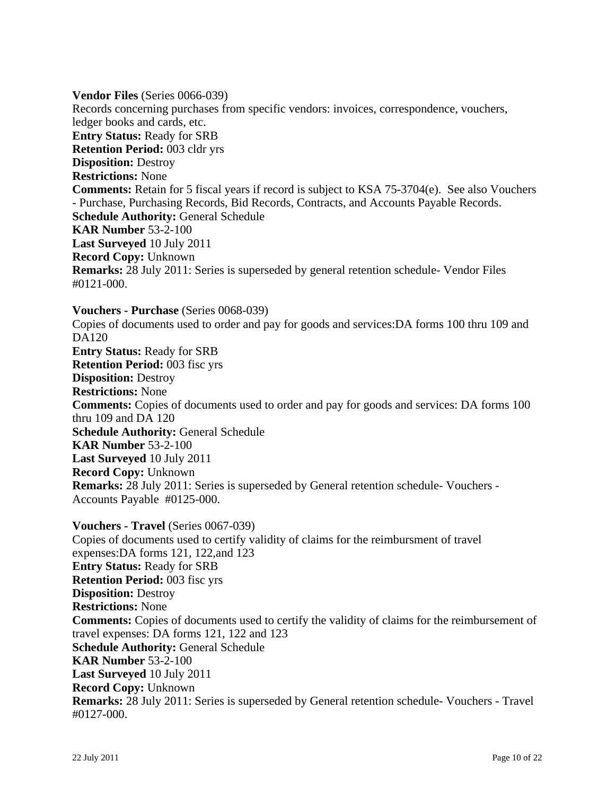**Vendor Files** (Series 0066-039) Records concerning purchases from specific vendors: invoices, correspondence, vouchers, ledger books and cards, etc. **Entry Status:** Ready for SRB **Retention Period:** 003 cldr yrs **Disposition:** Destroy **Restrictions:** None **Comments:** Retain for 5 fiscal years if record is subject to KSA 75-3704(e). See also Vouchers - Purchase, Purchasing Records, Bid Records, Contracts, and Accounts Payable Records. **Schedule Authority:** General Schedule **KAR Number** 53-2-100 **Last Surveyed** 10 July 2011 **Record Copy:** Unknown **Remarks:** 28 July 2011: Series is superseded by general retention schedule- Vendor Files #0121-000.

### **Vouchers - Purchase** (Series 0068-039)

Copies of documents used to order and pay for goods and services:DA forms 100 thru 109 and DA120 **Entry Status:** Ready for SRB **Retention Period:** 003 fisc yrs **Disposition:** Destroy **Restrictions:** None **Comments:** Copies of documents used to order and pay for goods and services: DA forms 100 thru 109 and DA 120 **Schedule Authority:** General Schedule **KAR Number** 53-2-100 **Last Surveyed** 10 July 2011 **Record Copy:** Unknown **Remarks:** 28 July 2011: Series is superseded by General retention schedule- Vouchers - Accounts Payable #0125-000.

**Vouchers - Travel** (Series 0067-039) Copies of documents used to certify validity of claims for the reimbursment of travel expenses:DA forms 121, 122,and 123 **Entry Status:** Ready for SRB **Retention Period:** 003 fisc yrs **Disposition:** Destroy **Restrictions:** None **Comments:** Copies of documents used to certify the validity of claims for the reimbursement of travel expenses: DA forms 121, 122 and 123 **Schedule Authority:** General Schedule **KAR Number** 53-2-100 **Last Surveyed** 10 July 2011 **Record Copy:** Unknown **Remarks:** 28 July 2011: Series is superseded by General retention schedule- Vouchers - Travel #0127-000.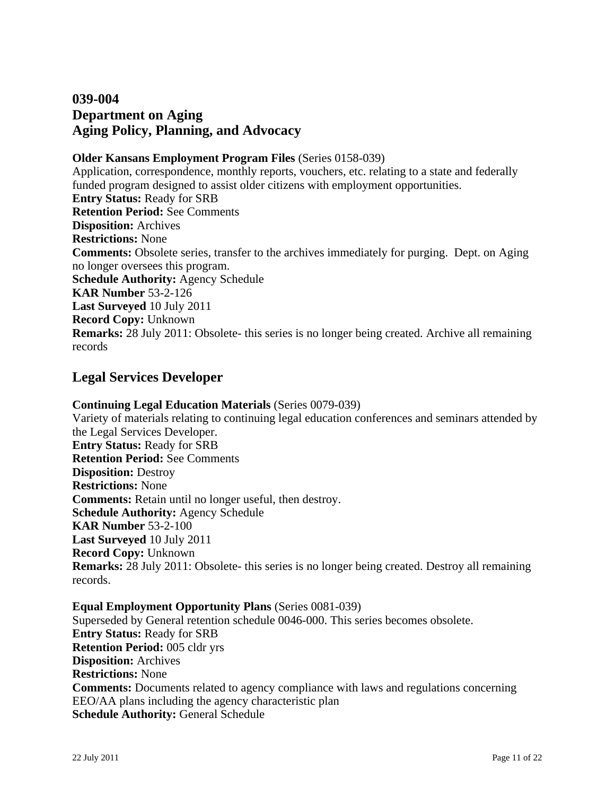## **039-004 Department on Aging Aging Policy, Planning, and Advocacy**

### **Older Kansans Employment Program Files** (Series 0158-039)

Application, correspondence, monthly reports, vouchers, etc. relating to a state and federally funded program designed to assist older citizens with employment opportunities. **Entry Status:** Ready for SRB **Retention Period:** See Comments **Disposition:** Archives **Restrictions:** None **Comments:** Obsolete series, transfer to the archives immediately for purging. Dept. on Aging no longer oversees this program. **Schedule Authority:** Agency Schedule **KAR Number** 53-2-126 **Last Surveyed** 10 July 2011 **Record Copy:** Unknown **Remarks:** 28 July 2011: Obsolete- this series is no longer being created. Archive all remaining records

## **Legal Services Developer**

## **Continuing Legal Education Materials** (Series 0079-039)

Variety of materials relating to continuing legal education conferences and seminars attended by the Legal Services Developer. **Entry Status:** Ready for SRB **Retention Period:** See Comments **Disposition:** Destroy **Restrictions:** None **Comments:** Retain until no longer useful, then destroy. **Schedule Authority:** Agency Schedule **KAR Number** 53-2-100 **Last Surveyed** 10 July 2011 **Record Copy:** Unknown **Remarks:** 28 July 2011: Obsolete- this series is no longer being created. Destroy all remaining records.

**Equal Employment Opportunity Plans** (Series 0081-039) Superseded by General retention schedule 0046-000. This series becomes obsolete. **Entry Status:** Ready for SRB **Retention Period:** 005 cldr yrs **Disposition:** Archives **Restrictions:** None **Comments:** Documents related to agency compliance with laws and regulations concerning EEO/AA plans including the agency characteristic plan **Schedule Authority:** General Schedule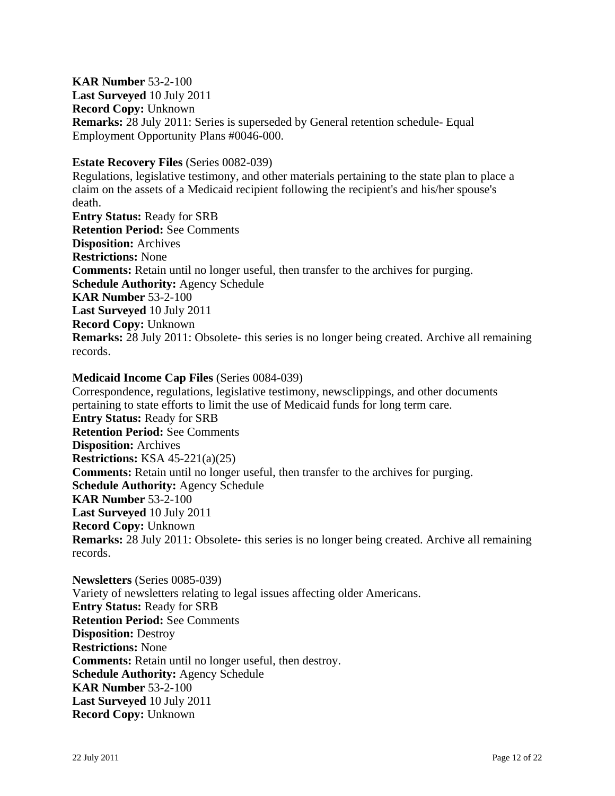**KAR Number** 53-2-100 **Last Surveyed** 10 July 2011 **Record Copy:** Unknown **Remarks:** 28 July 2011: Series is superseded by General retention schedule- Equal Employment Opportunity Plans #0046-000.

#### **Estate Recovery Files** (Series 0082-039)

Regulations, legislative testimony, and other materials pertaining to the state plan to place a claim on the assets of a Medicaid recipient following the recipient's and his/her spouse's death. **Entry Status:** Ready for SRB **Retention Period:** See Comments **Disposition:** Archives **Restrictions:** None **Comments:** Retain until no longer useful, then transfer to the archives for purging. **Schedule Authority:** Agency Schedule **KAR Number** 53-2-100 **Last Surveyed** 10 July 2011 **Record Copy:** Unknown **Remarks:** 28 July 2011: Obsolete- this series is no longer being created. Archive all remaining records.

#### **Medicaid Income Cap Files** (Series 0084-039)

Correspondence, regulations, legislative testimony, newsclippings, and other documents pertaining to state efforts to limit the use of Medicaid funds for long term care. **Entry Status:** Ready for SRB **Retention Period:** See Comments **Disposition:** Archives **Restrictions:** KSA 45-221(a)(25) **Comments:** Retain until no longer useful, then transfer to the archives for purging. **Schedule Authority:** Agency Schedule **KAR Number** 53-2-100 **Last Surveyed** 10 July 2011 **Record Copy:** Unknown **Remarks:** 28 July 2011: Obsolete- this series is no longer being created. Archive all remaining records.

**Newsletters** (Series 0085-039) Variety of newsletters relating to legal issues affecting older Americans. **Entry Status:** Ready for SRB **Retention Period:** See Comments **Disposition:** Destroy **Restrictions:** None **Comments:** Retain until no longer useful, then destroy. **Schedule Authority:** Agency Schedule **KAR Number** 53-2-100 **Last Surveyed** 10 July 2011 **Record Copy:** Unknown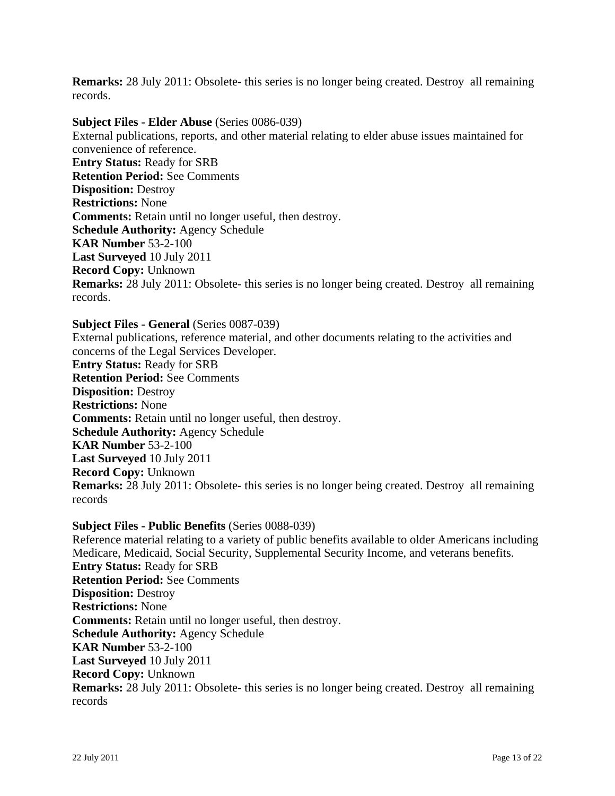**Remarks:** 28 July 2011: Obsolete- this series is no longer being created. Destroy all remaining records.

**Subject Files - Elder Abuse** (Series 0086-039) External publications, reports, and other material relating to elder abuse issues maintained for convenience of reference. **Entry Status:** Ready for SRB **Retention Period:** See Comments **Disposition:** Destroy **Restrictions:** None **Comments:** Retain until no longer useful, then destroy. **Schedule Authority:** Agency Schedule **KAR Number** 53-2-100 **Last Surveyed** 10 July 2011 **Record Copy:** Unknown **Remarks:** 28 July 2011: Obsolete- this series is no longer being created. Destroy all remaining records.

**Subject Files - General** (Series 0087-039)

External publications, reference material, and other documents relating to the activities and concerns of the Legal Services Developer. **Entry Status:** Ready for SRB **Retention Period:** See Comments **Disposition:** Destroy **Restrictions:** None **Comments:** Retain until no longer useful, then destroy. **Schedule Authority:** Agency Schedule **KAR Number** 53-2-100 **Last Surveyed** 10 July 2011 **Record Copy:** Unknown **Remarks:** 28 July 2011: Obsolete- this series is no longer being created. Destroy all remaining records

#### **Subject Files - Public Benefits** (Series 0088-039)

Reference material relating to a variety of public benefits available to older Americans including Medicare, Medicaid, Social Security, Supplemental Security Income, and veterans benefits. **Entry Status:** Ready for SRB **Retention Period:** See Comments **Disposition:** Destroy **Restrictions:** None **Comments:** Retain until no longer useful, then destroy. **Schedule Authority:** Agency Schedule **KAR Number** 53-2-100 **Last Surveyed** 10 July 2011 **Record Copy:** Unknown **Remarks:** 28 July 2011: Obsolete- this series is no longer being created. Destroy all remaining records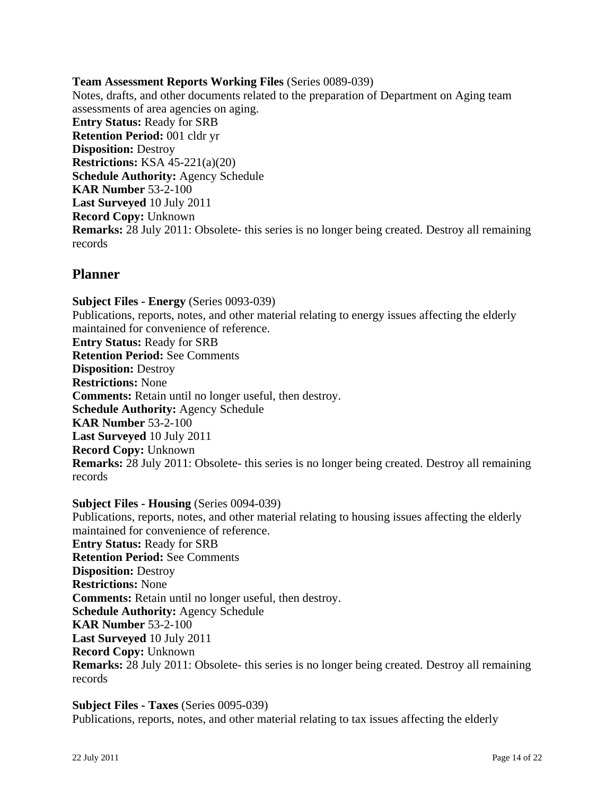**Team Assessment Reports Working Files** (Series 0089-039) Notes, drafts, and other documents related to the preparation of Department on Aging team assessments of area agencies on aging. **Entry Status:** Ready for SRB **Retention Period:** 001 cldr yr **Disposition:** Destroy **Restrictions:** KSA 45-221(a)(20) **Schedule Authority:** Agency Schedule **KAR Number** 53-2-100 **Last Surveyed** 10 July 2011 **Record Copy:** Unknown **Remarks:** 28 July 2011: Obsolete- this series is no longer being created. Destroy all remaining records

## **Planner**

**Subject Files - Energy** (Series 0093-039) Publications, reports, notes, and other material relating to energy issues affecting the elderly maintained for convenience of reference. **Entry Status:** Ready for SRB **Retention Period:** See Comments **Disposition:** Destroy **Restrictions:** None **Comments:** Retain until no longer useful, then destroy. **Schedule Authority:** Agency Schedule **KAR Number** 53-2-100 **Last Surveyed** 10 July 2011 **Record Copy:** Unknown **Remarks:** 28 July 2011: Obsolete- this series is no longer being created. Destroy all remaining records

**Subject Files - Housing** (Series 0094-039) Publications, reports, notes, and other material relating to housing issues affecting the elderly maintained for convenience of reference. **Entry Status:** Ready for SRB **Retention Period:** See Comments **Disposition:** Destroy **Restrictions:** None **Comments:** Retain until no longer useful, then destroy. **Schedule Authority:** Agency Schedule **KAR Number** 53-2-100 **Last Surveyed** 10 July 2011 **Record Copy:** Unknown **Remarks:** 28 July 2011: Obsolete- this series is no longer being created. Destroy all remaining records

**Subject Files - Taxes** (Series 0095-039) Publications, reports, notes, and other material relating to tax issues affecting the elderly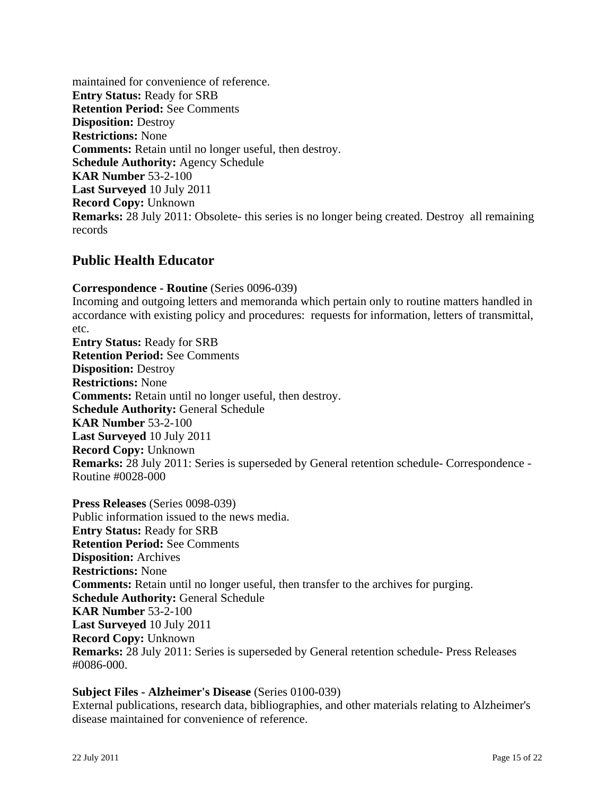maintained for convenience of reference. **Entry Status:** Ready for SRB **Retention Period:** See Comments **Disposition:** Destroy **Restrictions:** None **Comments:** Retain until no longer useful, then destroy. **Schedule Authority:** Agency Schedule **KAR Number** 53-2-100 **Last Surveyed** 10 July 2011 **Record Copy:** Unknown **Remarks:** 28 July 2011: Obsolete- this series is no longer being created. Destroy all remaining records

## **Public Health Educator**

**Correspondence - Routine** (Series 0096-039) Incoming and outgoing letters and memoranda which pertain only to routine matters handled in accordance with existing policy and procedures: requests for information, letters of transmittal, etc. **Entry Status:** Ready for SRB **Retention Period:** See Comments **Disposition:** Destroy **Restrictions:** None **Comments:** Retain until no longer useful, then destroy. **Schedule Authority:** General Schedule **KAR Number** 53-2-100 **Last Surveyed** 10 July 2011 **Record Copy:** Unknown **Remarks:** 28 July 2011: Series is superseded by General retention schedule- Correspondence - Routine #0028-000

**Press Releases** (Series 0098-039) Public information issued to the news media. **Entry Status:** Ready for SRB **Retention Period:** See Comments **Disposition:** Archives **Restrictions:** None **Comments:** Retain until no longer useful, then transfer to the archives for purging. **Schedule Authority:** General Schedule **KAR Number** 53-2-100 **Last Surveyed** 10 July 2011 **Record Copy:** Unknown **Remarks:** 28 July 2011: Series is superseded by General retention schedule- Press Releases #0086-000.

#### **Subject Files - Alzheimer's Disease** (Series 0100-039)

External publications, research data, bibliographies, and other materials relating to Alzheimer's disease maintained for convenience of reference.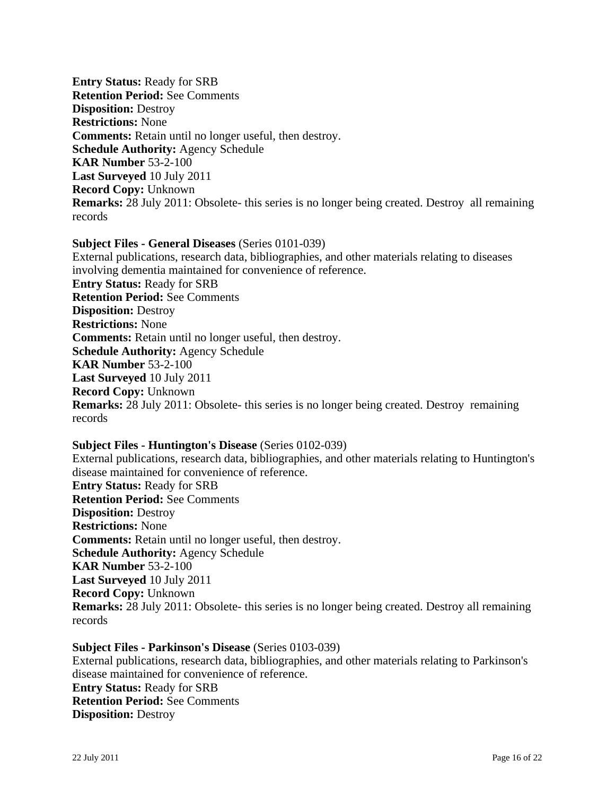**Entry Status:** Ready for SRB **Retention Period:** See Comments **Disposition:** Destroy **Restrictions:** None **Comments:** Retain until no longer useful, then destroy. **Schedule Authority:** Agency Schedule **KAR Number** 53-2-100 **Last Surveyed** 10 July 2011 **Record Copy:** Unknown **Remarks:** 28 July 2011: Obsolete- this series is no longer being created. Destroy all remaining records

**Subject Files - General Diseases** (Series 0101-039) External publications, research data, bibliographies, and other materials relating to diseases involving dementia maintained for convenience of reference. **Entry Status:** Ready for SRB **Retention Period:** See Comments **Disposition:** Destroy **Restrictions:** None **Comments:** Retain until no longer useful, then destroy. **Schedule Authority:** Agency Schedule **KAR Number** 53-2-100 **Last Surveyed** 10 July 2011 **Record Copy:** Unknown **Remarks:** 28 July 2011: Obsolete- this series is no longer being created. Destroy remaining records

**Subject Files - Huntington's Disease** (Series 0102-039) External publications, research data, bibliographies, and other materials relating to Huntington's disease maintained for convenience of reference. **Entry Status:** Ready for SRB **Retention Period:** See Comments **Disposition:** Destroy **Restrictions:** None **Comments:** Retain until no longer useful, then destroy. **Schedule Authority:** Agency Schedule **KAR Number** 53-2-100 **Last Surveyed** 10 July 2011 **Record Copy:** Unknown **Remarks:** 28 July 2011: Obsolete- this series is no longer being created. Destroy all remaining records

**Subject Files - Parkinson's Disease** (Series 0103-039) External publications, research data, bibliographies, and other materials relating to Parkinson's disease maintained for convenience of reference. **Entry Status:** Ready for SRB **Retention Period:** See Comments **Disposition:** Destroy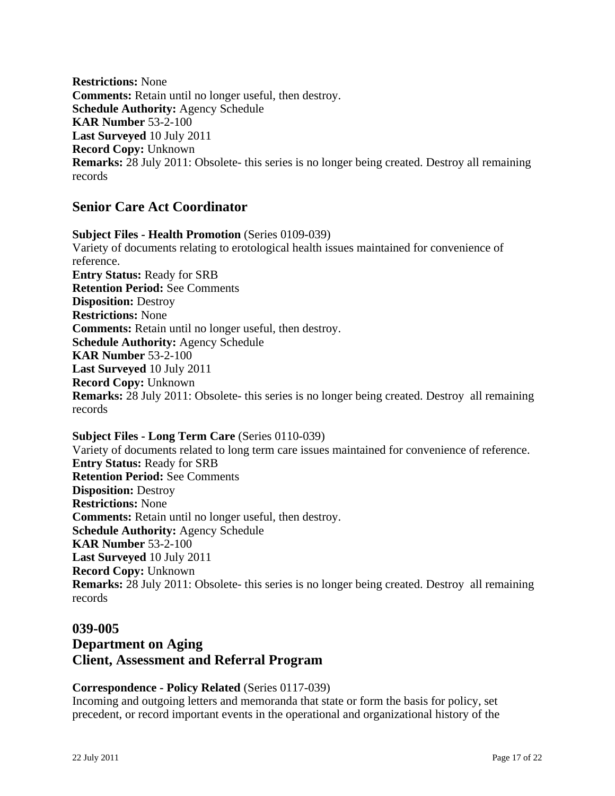**Restrictions:** None **Comments:** Retain until no longer useful, then destroy. **Schedule Authority:** Agency Schedule **KAR Number** 53-2-100 **Last Surveyed** 10 July 2011 **Record Copy:** Unknown **Remarks:** 28 July 2011: Obsolete- this series is no longer being created. Destroy all remaining records

## **Senior Care Act Coordinator**

**Subject Files - Health Promotion** (Series 0109-039) Variety of documents relating to erotological health issues maintained for convenience of reference. **Entry Status:** Ready for SRB **Retention Period:** See Comments **Disposition:** Destroy **Restrictions:** None **Comments:** Retain until no longer useful, then destroy. **Schedule Authority:** Agency Schedule **KAR Number** 53-2-100 **Last Surveyed** 10 July 2011 **Record Copy:** Unknown **Remarks:** 28 July 2011: Obsolete- this series is no longer being created. Destroy all remaining records

**Subject Files - Long Term Care** (Series 0110-039) Variety of documents related to long term care issues maintained for convenience of reference. **Entry Status:** Ready for SRB **Retention Period:** See Comments **Disposition:** Destroy **Restrictions:** None **Comments:** Retain until no longer useful, then destroy. **Schedule Authority:** Agency Schedule **KAR Number** 53-2-100 **Last Surveyed** 10 July 2011 **Record Copy:** Unknown **Remarks:** 28 July 2011: Obsolete- this series is no longer being created. Destroy all remaining records

#### **039-005**

## **Department on Aging Client, Assessment and Referral Program**

## **Correspondence - Policy Related** (Series 0117-039)

Incoming and outgoing letters and memoranda that state or form the basis for policy, set precedent, or record important events in the operational and organizational history of the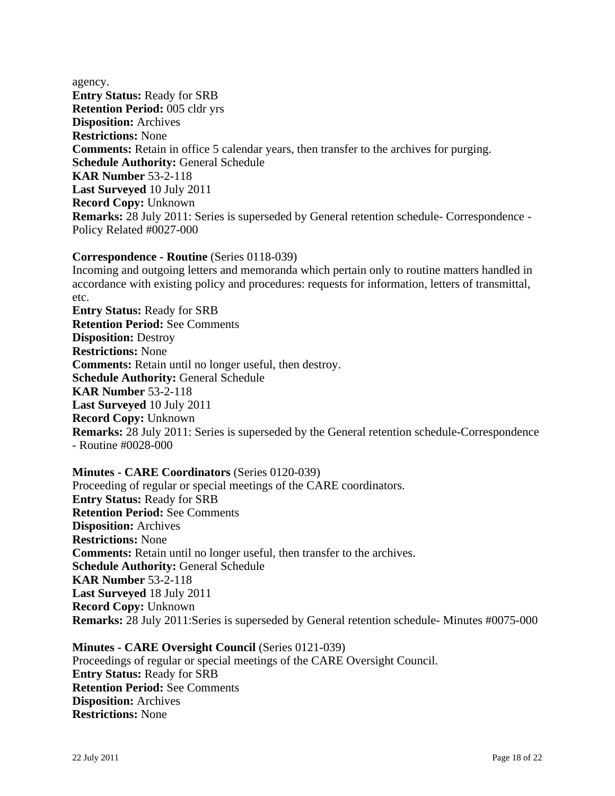agency. **Entry Status:** Ready for SRB **Retention Period:** 005 cldr yrs **Disposition:** Archives **Restrictions:** None **Comments:** Retain in office 5 calendar years, then transfer to the archives for purging. **Schedule Authority:** General Schedule **KAR Number** 53-2-118 **Last Surveyed** 10 July 2011 **Record Copy:** Unknown **Remarks:** 28 July 2011: Series is superseded by General retention schedule- Correspondence - Policy Related #0027-000

### **Correspondence - Routine** (Series 0118-039)

Incoming and outgoing letters and memoranda which pertain only to routine matters handled in accordance with existing policy and procedures: requests for information, letters of transmittal, etc.

**Entry Status:** Ready for SRB **Retention Period:** See Comments **Disposition:** Destroy **Restrictions:** None **Comments:** Retain until no longer useful, then destroy. **Schedule Authority:** General Schedule **KAR Number** 53-2-118 **Last Surveyed** 10 July 2011 **Record Copy:** Unknown **Remarks:** 28 July 2011: Series is superseded by the General retention schedule-Correspondence - Routine #0028-000

**Minutes - CARE Coordinators** (Series 0120-039) Proceeding of regular or special meetings of the CARE coordinators. **Entry Status:** Ready for SRB **Retention Period:** See Comments **Disposition:** Archives **Restrictions:** None **Comments:** Retain until no longer useful, then transfer to the archives. **Schedule Authority:** General Schedule **KAR Number** 53-2-118 **Last Surveyed** 18 July 2011 **Record Copy:** Unknown **Remarks:** 28 July 2011:Series is superseded by General retention schedule- Minutes #0075-000

**Minutes - CARE Oversight Council** (Series 0121-039) Proceedings of regular or special meetings of the CARE Oversight Council. **Entry Status:** Ready for SRB **Retention Period:** See Comments **Disposition:** Archives **Restrictions:** None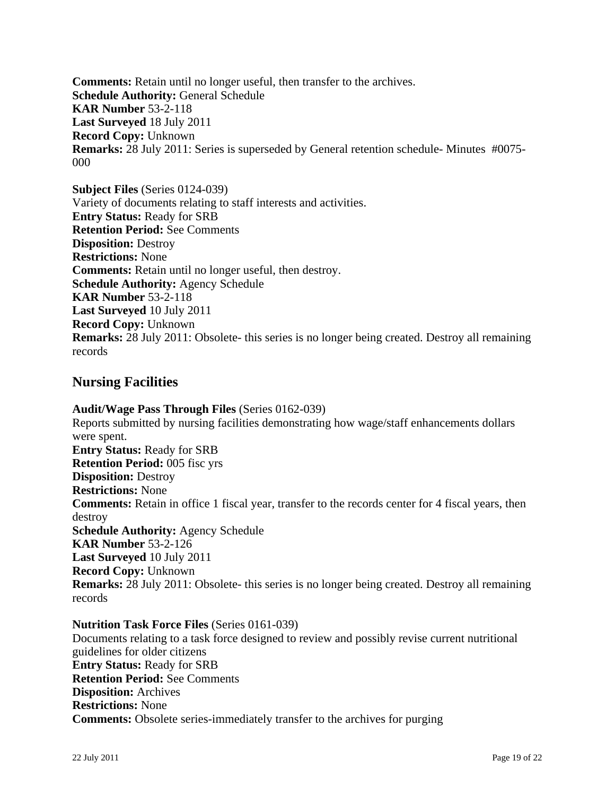**Comments:** Retain until no longer useful, then transfer to the archives. **Schedule Authority:** General Schedule **KAR Number** 53-2-118 **Last Surveyed** 18 July 2011 **Record Copy:** Unknown **Remarks:** 28 July 2011: Series is superseded by General retention schedule- Minutes #0075- 000

**Subject Files** (Series 0124-039) Variety of documents relating to staff interests and activities. **Entry Status:** Ready for SRB **Retention Period:** See Comments **Disposition:** Destroy **Restrictions:** None **Comments:** Retain until no longer useful, then destroy. **Schedule Authority:** Agency Schedule **KAR Number** 53-2-118 **Last Surveyed** 10 July 2011 **Record Copy:** Unknown **Remarks:** 28 July 2011: Obsolete- this series is no longer being created. Destroy all remaining records

## **Nursing Facilities**

**Audit/Wage Pass Through Files** (Series 0162-039) Reports submitted by nursing facilities demonstrating how wage/staff enhancements dollars were spent. **Entry Status:** Ready for SRB **Retention Period:** 005 fisc yrs **Disposition:** Destroy **Restrictions:** None **Comments:** Retain in office 1 fiscal year, transfer to the records center for 4 fiscal years, then destroy **Schedule Authority:** Agency Schedule **KAR Number** 53-2-126 **Last Surveyed** 10 July 2011 **Record Copy:** Unknown **Remarks:** 28 July 2011: Obsolete- this series is no longer being created. Destroy all remaining records

#### **Nutrition Task Force Files** (Series 0161-039) Documents relating to a task force designed to review and possibly revise current nutritional guidelines for older citizens **Entry Status:** Ready for SRB **Retention Period:** See Comments **Disposition:** Archives **Restrictions:** None **Comments:** Obsolete series-immediately transfer to the archives for purging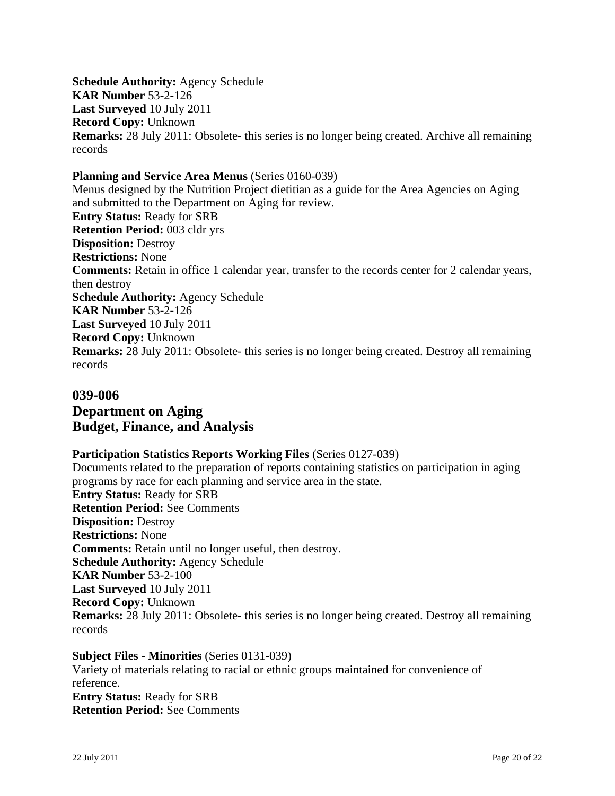**Schedule Authority:** Agency Schedule **KAR Number** 53-2-126 **Last Surveyed** 10 July 2011 **Record Copy:** Unknown **Remarks:** 28 July 2011: Obsolete- this series is no longer being created. Archive all remaining records

#### **Planning and Service Area Menus** (Series 0160-039)

Menus designed by the Nutrition Project dietitian as a guide for the Area Agencies on Aging and submitted to the Department on Aging for review. **Entry Status:** Ready for SRB **Retention Period:** 003 cldr yrs **Disposition:** Destroy **Restrictions:** None **Comments:** Retain in office 1 calendar year, transfer to the records center for 2 calendar years, then destroy **Schedule Authority:** Agency Schedule **KAR Number** 53-2-126 **Last Surveyed** 10 July 2011 **Record Copy:** Unknown **Remarks:** 28 July 2011: Obsolete- this series is no longer being created. Destroy all remaining records

## **039-006 Department on Aging Budget, Finance, and Analysis**

#### **Participation Statistics Reports Working Files** (Series 0127-039)

Documents related to the preparation of reports containing statistics on participation in aging programs by race for each planning and service area in the state. **Entry Status:** Ready for SRB **Retention Period:** See Comments **Disposition:** Destroy **Restrictions:** None **Comments:** Retain until no longer useful, then destroy. **Schedule Authority:** Agency Schedule **KAR Number** 53-2-100 **Last Surveyed** 10 July 2011 **Record Copy:** Unknown **Remarks:** 28 July 2011: Obsolete- this series is no longer being created. Destroy all remaining records

**Subject Files - Minorities** (Series 0131-039) Variety of materials relating to racial or ethnic groups maintained for convenience of reference. **Entry Status:** Ready for SRB **Retention Period:** See Comments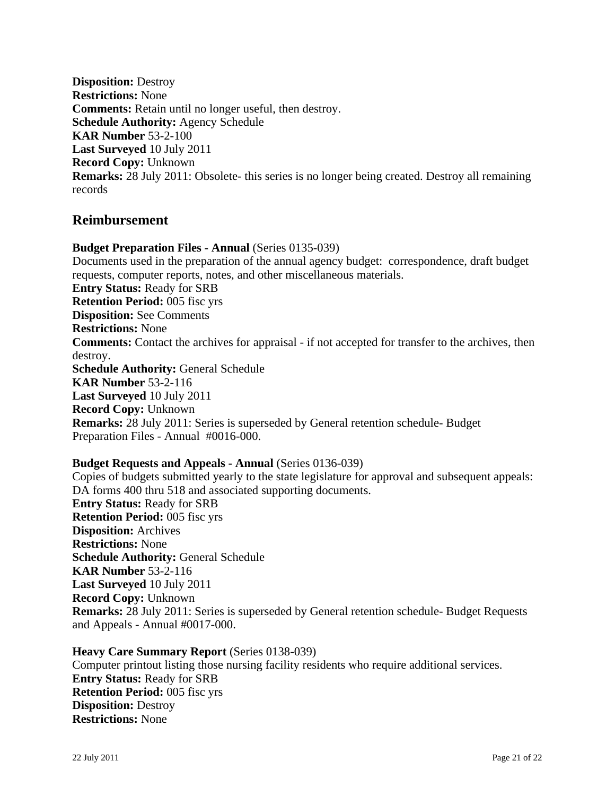**Disposition:** Destroy **Restrictions:** None **Comments:** Retain until no longer useful, then destroy. **Schedule Authority:** Agency Schedule **KAR Number** 53-2-100 **Last Surveyed** 10 July 2011 **Record Copy:** Unknown **Remarks:** 28 July 2011: Obsolete- this series is no longer being created. Destroy all remaining records

## **Reimbursement**

**Budget Preparation Files - Annual** (Series 0135-039) Documents used in the preparation of the annual agency budget: correspondence, draft budget requests, computer reports, notes, and other miscellaneous materials. **Entry Status:** Ready for SRB **Retention Period:** 005 fisc yrs **Disposition:** See Comments **Restrictions:** None **Comments:** Contact the archives for appraisal - if not accepted for transfer to the archives, then destroy. **Schedule Authority:** General Schedule **KAR Number** 53-2-116 **Last Surveyed** 10 July 2011 **Record Copy:** Unknown **Remarks:** 28 July 2011: Series is superseded by General retention schedule- Budget Preparation Files - Annual #0016-000.

#### **Budget Requests and Appeals - Annual** (Series 0136-039)

Copies of budgets submitted yearly to the state legislature for approval and subsequent appeals: DA forms 400 thru 518 and associated supporting documents. **Entry Status:** Ready for SRB **Retention Period:** 005 fisc yrs **Disposition:** Archives **Restrictions:** None **Schedule Authority:** General Schedule **KAR Number** 53-2-116 **Last Surveyed** 10 July 2011 **Record Copy:** Unknown **Remarks:** 28 July 2011: Series is superseded by General retention schedule- Budget Requests and Appeals - Annual #0017-000.

**Heavy Care Summary Report** (Series 0138-039) Computer printout listing those nursing facility residents who require additional services. **Entry Status:** Ready for SRB **Retention Period:** 005 fisc yrs **Disposition:** Destroy **Restrictions:** None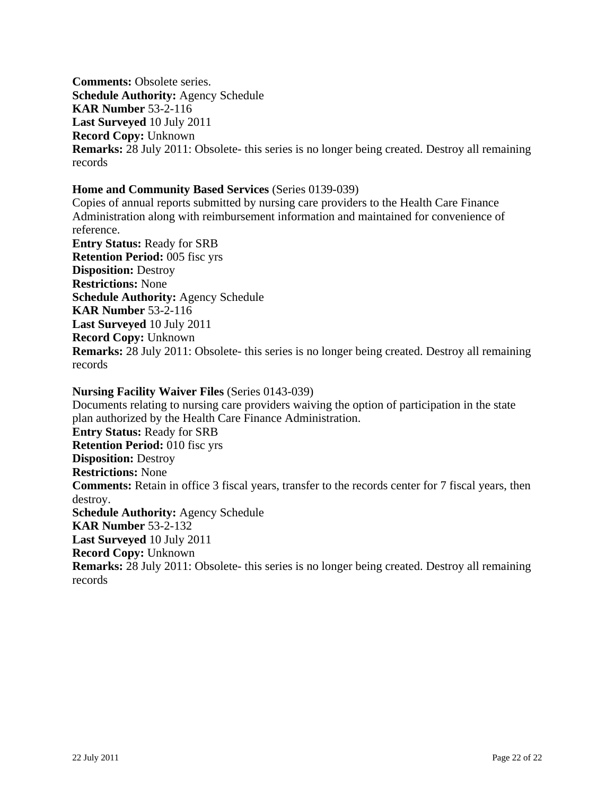**Comments:** Obsolete series. **Schedule Authority:** Agency Schedule **KAR Number** 53-2-116 **Last Surveyed** 10 July 2011 **Record Copy:** Unknown **Remarks:** 28 July 2011: Obsolete- this series is no longer being created. Destroy all remaining records

#### **Home and Community Based Services** (Series 0139-039)

Copies of annual reports submitted by nursing care providers to the Health Care Finance Administration along with reimbursement information and maintained for convenience of reference. **Entry Status:** Ready for SRB **Retention Period:** 005 fisc yrs **Disposition:** Destroy **Restrictions:** None **Schedule Authority:** Agency Schedule **KAR Number** 53-2-116 **Last Surveyed** 10 July 2011 **Record Copy:** Unknown **Remarks:** 28 July 2011: Obsolete- this series is no longer being created. Destroy all remaining records

## **Nursing Facility Waiver Files** (Series 0143-039)

Documents relating to nursing care providers waiving the option of participation in the state plan authorized by the Health Care Finance Administration. **Entry Status:** Ready for SRB **Retention Period:** 010 fisc yrs **Disposition:** Destroy **Restrictions:** None **Comments:** Retain in office 3 fiscal years, transfer to the records center for 7 fiscal years, then destroy. **Schedule Authority:** Agency Schedule **KAR Number** 53-2-132 **Last Surveyed** 10 July 2011 **Record Copy:** Unknown **Remarks:** 28 July 2011: Obsolete- this series is no longer being created. Destroy all remaining records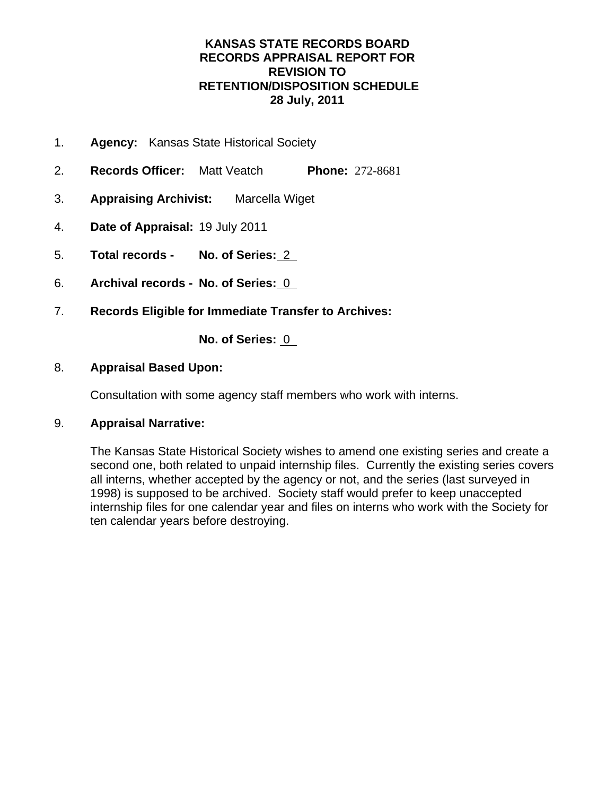## **KANSAS STATE RECORDS BOARD RECORDS APPRAISAL REPORT FOR REVISION TO RETENTION/DISPOSITION SCHEDULE 28 July, 2011**

- 1. **Agency:** Kansas State Historical Society
- 2. **Records Officer:** Matt Veatch **Phone:** 272-8681
- 3. **Appraising Archivist:** Marcella Wiget
- 4. **Date of Appraisal:** 19 July 2011
- 5. **Total records No. of Series:** 2
- 6. **Archival records No. of Series:** 0
- 7. **Records Eligible for Immediate Transfer to Archives:**

**No. of Series:** 0

### 8. **Appraisal Based Upon:**

Consultation with some agency staff members who work with interns.

## 9. **Appraisal Narrative:**

The Kansas State Historical Society wishes to amend one existing series and create a second one, both related to unpaid internship files. Currently the existing series covers all interns, whether accepted by the agency or not, and the series (last surveyed in 1998) is supposed to be archived. Society staff would prefer to keep unaccepted internship files for one calendar year and files on interns who work with the Society for ten calendar years before destroying.